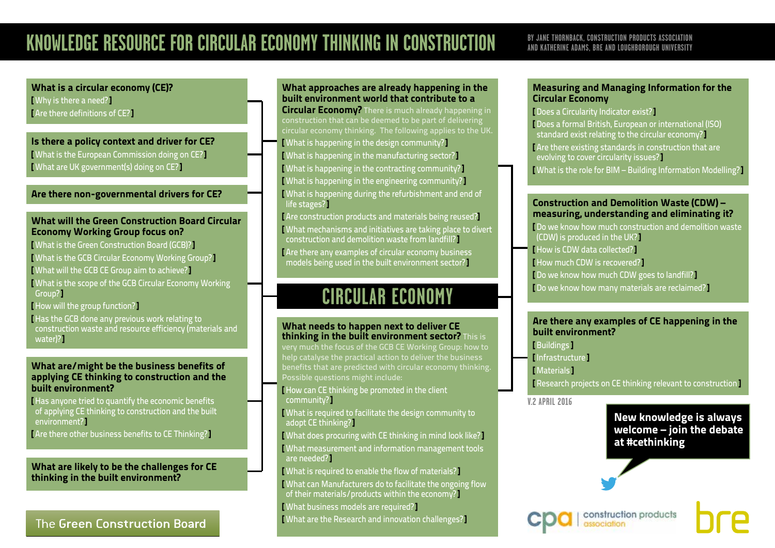### **AND KATHERINE ADAMS, BRE AND LOUGHBOROUGH UNIVERSITY**

### <span id="page-0-0"></span>What is a circular economy (CE)? [ [Why is there a need?](#page-1-0)] [ [Are there definitions of CE?](#page-2-0)]

Is there a policy context and driver for CE? [ [What is the European Commission doing on CE?](#page-3-0)] [ [What are UK government\(s\) doing on CE?](#page-4-0)]

### [Are there non-governmental drivers for CE?](#page-5-0)

#### What will the Green Construction Board Circular Economy Working Group focus on?

- [ [What is the Green Construction Board \(GCB\)?](#page-6-0)]
- [ [What is the GCB Circular Economy Working Group?](#page-7-0)]
- [ [What will the GCB CE Group aim to achieve?](#page-8-0)]
- [ [What is the scope of the GCB Circular Economy Working](#page-9-0)  [Group?](#page-9-0)]
- [ [How will the group function?](#page-10-0)]
- [ [Has the GCB done any previous work relating to](#page-11-0)  [construction waste and resource efficiency \(materials and](#page-11-0)  water<sup>1</sup>?

#### What are/might be the business benefits of applying CE thinking to construction and the built environment?

- [ [Has anyone tried to quantify the economic benefits](#page-12-0)  [of applying CE thinking to construction and the built](#page-12-0)  [environment?](#page-12-0)]
- [ [Are there other business benefits to CE Thinking?](#page-13-0)]

[What are likely to be the challenges for CE](#page-14-0)  [thinking in the built environment?](#page-14-0)

### The Green Construction Board

### [What approaches are already happening in the](#page-15-0)  [built environment world that contribute to a](#page-15-0)

**[Circular Economy?](#page-15-0)** There is much already happening in circular economy thinking. The following applies to the UK. [ [What is happening in the design community?](#page-15-0)] [ [What is happening in the manufacturing sector?](#page-16-0)] [ [What is happening in the contracting community?](#page-17-0)] [ [What is happening in the engineering community?](#page-18-0)] [ [What is happening during the refurbishment and end of](#page-19-0)  [life stages?](#page-19-0)]

[ [Are construction products and materials being reused?](#page-20-0)] [ [What mechanisms and initiatives are taking place to divert](#page-21-0)  [construction and demolition waste from landfill?](#page-21-0)] [ Are there any examples of circular economy business models being used in the built environment sector?]

# **CIRCULAR ECONOMY**

#### What needs to happen next to deliver CE thinking in the built environment sector? This is

very much the focus of the GCB CE Working Group: how to help catalyse the practical action to deliver the business benefits that are predicted with circular economy thinking. Possible questions might include:

[ [How can CE thinking be promoted in the client](#page-24-0)  [community?](#page-24-0)]

[ [What is required to facilitate the design community to](#page-25-0)  [adopt CE thinking?](#page-25-0)]

[ [What does procuring with CE thinking in mind look like?](#page-26-0)] [ [What measurement and information management tools](#page-27-0)  [are needed?](#page-27-0)]

[ [What is required to enable the flow of materials?](#page-28-0)]

- [ [What can Manufacturers do to facilitate the ongoing flow](#page-29-0)
- [of their materials/products within the economy?](#page-29-0)
- [ [What business models are required?](#page-30-0)]

**Nhat are the Research and innovation challenges?** 

#### Measuring and Managing Information for the Circular Economy

[ [Does a Circularity Indicator exist?](#page-32-0)]

[ Does a formal British, European or international (ISO) standard exist relating to the circular economy?] [ [Are there existing standards in construction that are](#page-34-0)  [evolving to cover circularity issues?](#page-34-0)] [ [What is the role for BIM – Building Information Modelling?](#page-35-0)]

### Construction and Demolition Waste (CDW) – measuring, understanding and eliminating it?

[ [Do we know how much construction and demolition waste](#page-36-0)  [\(CDW\) is produced in the UK?](#page-36-0)]

- [ [How is CDW data collected?](#page-37-0)]
- [ [How much CDW is recovered?](#page-38-0)]
- [ [Do we know how much CDW goes to landfill?](#page-39-0)]
- [ [Do we know how many materials are reclaimed?](#page-40-0)]

### Are there any examples of CE happening in the built environment?

[ [Buildings](#page-41-0) ]

- [ [Infrastructure](#page-42-0) ]
- [ [Materials](#page-43-0) ]

[ [Research projects on CE thinking relevant to construction](#page-44-0) ]

**V.2 APRIL 2016**

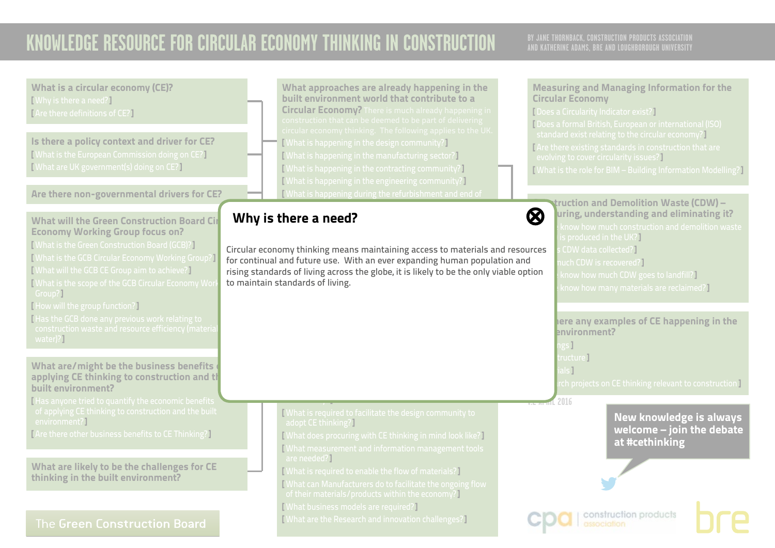<span id="page-1-0"></span>

| What is a circular economy (CE)?<br>[Why is there a need?]<br>[Are there definitions of CE?]<br>Is there a policy context and driver for CE?<br>[What is the European Commission doing on CE?]                                                                                                                                                                                                                                                               | What approaches are already happening in the<br>built environment world that contribute to a<br><b>Circular Economy?</b> There is much already happening in<br>construction that can be deemed to be part of delivering<br>circular economy thinking. The following applies to the UK<br><b>[What is happening in the design community?]</b><br>[What is happening in the manufacturing sector?] | <b>Measuring and Managing Information for the</b><br><b>Circular Economy</b><br>[Does a Circularity Indicator exist?]<br>[Does a formal British, European or international (ISO)<br>standard exist relating to the circular economy?]<br>[Are there existing standards in construction that are<br>evolving to cover circularity issues?]                                               |
|--------------------------------------------------------------------------------------------------------------------------------------------------------------------------------------------------------------------------------------------------------------------------------------------------------------------------------------------------------------------------------------------------------------------------------------------------------------|--------------------------------------------------------------------------------------------------------------------------------------------------------------------------------------------------------------------------------------------------------------------------------------------------------------------------------------------------------------------------------------------------|-----------------------------------------------------------------------------------------------------------------------------------------------------------------------------------------------------------------------------------------------------------------------------------------------------------------------------------------------------------------------------------------|
| [What are UK government(s) doing on CE?]                                                                                                                                                                                                                                                                                                                                                                                                                     | <b>What is happening in the contracting community?</b><br>[What is happening in the engineering community?]                                                                                                                                                                                                                                                                                      | [What is the role for BIM - Building Information Modelling?]                                                                                                                                                                                                                                                                                                                            |
| Are there non-governmental drivers for CE?                                                                                                                                                                                                                                                                                                                                                                                                                   | What is happening during the refurbishment and end of                                                                                                                                                                                                                                                                                                                                            |                                                                                                                                                                                                                                                                                                                                                                                         |
| <b>What will the Green Construction Board Cir</b><br><b>Economy Working Group focus on?</b><br>[What is the Green Construction Board (GCB)?]<br>[What is the GCB Circular Economy Working Group?]<br>[What will the GCB CE Group aim to achieve?]<br>What is the scope of the GCB Circular Economy Wor<br>Group?]<br>[How will the group function?]<br>Has the GCB done any previous work relating to<br>construction waste and resource efficiency (materia | Why is there a need?<br>Circular economy thinking means maintaining access to materials and resources<br>for continual and future use. With an ever expanding human population and<br>rising standards of living across the globe, it is likely to be the only viable option<br>to maintain standards of living.                                                                                 | truction and Demolition Waste (CDW) –<br>$\boldsymbol{\Omega}$<br>uring, understanding and eliminating it?<br>know how much construction and demolition waste<br>is produced in the UK?]<br>CDW data collected?]<br>uch CDW is recovered?<br>know how much CDW goes to landfill?<br>know how many materials are reclaimed?]<br>here any examples of CE happening in the<br>environment? |
| water)?<br>What are/might be the business benefits<br>applying CE thinking to construction and th<br>built environment?                                                                                                                                                                                                                                                                                                                                      |                                                                                                                                                                                                                                                                                                                                                                                                  | ngs]<br>:ructure <b>l</b><br>als 1<br>rch projects on CE thinking relevant to construction ]                                                                                                                                                                                                                                                                                            |
| Has anyone tried to quantify the economic benefits<br>of applying CE thinking to construction and the built<br>environment?]<br>[Are there other business benefits to CE Thinking?]                                                                                                                                                                                                                                                                          | What is required to facilitate the design community to<br>adopt CE thinking?<br><b>[What does procuring with CE thinking in mind look like?]</b><br>What measurement and information management tools                                                                                                                                                                                            | IL 2016<br><b>New knowledge is always</b><br>welcome - join the debate<br>at #cethinking                                                                                                                                                                                                                                                                                                |
| What are likely to be the challenges for CE<br>thinking in the built environment?                                                                                                                                                                                                                                                                                                                                                                            | are needed?]<br>[What is required to enable the flow of materials?]<br>What can Manufacturers do to facilitate the ongoing flow                                                                                                                                                                                                                                                                  |                                                                                                                                                                                                                                                                                                                                                                                         |
|                                                                                                                                                                                                                                                                                                                                                                                                                                                              | of their materials/products within the economy?]<br><b>[What business models are required?]</b>                                                                                                                                                                                                                                                                                                  |                                                                                                                                                                                                                                                                                                                                                                                         |
| The Green Construction Board                                                                                                                                                                                                                                                                                                                                                                                                                                 | <b>[What are the Research and innovation challenges?]</b>                                                                                                                                                                                                                                                                                                                                        | construction products                                                                                                                                                                                                                                                                                                                                                                   |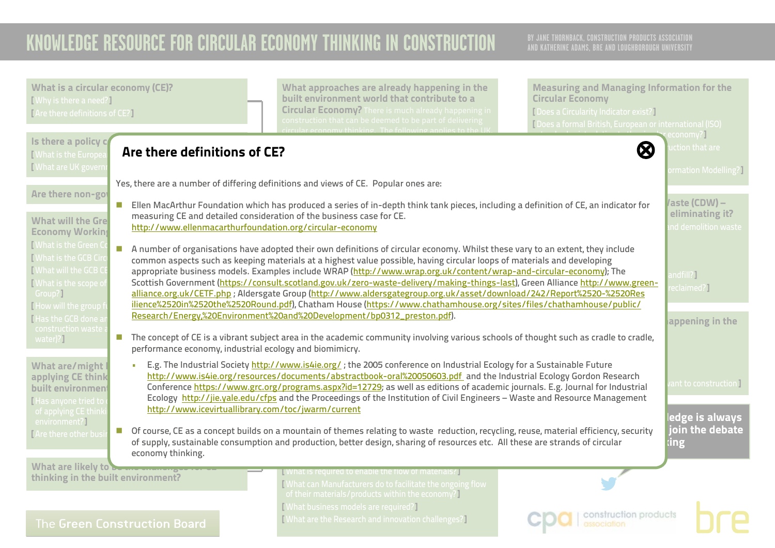<span id="page-2-0"></span>

| <b>What is a circular economy (CE)?</b><br>[Why is there a need?]<br>[Are there definitions of CE?]                                                                                            | What approaches are already happening in the<br>built environment world that contribute to a<br><b>Circular Economy?</b> There is much already happening in<br>construction that can be deemed to be part of delivering<br>$\frac{1}{2}$ thinking. The following annlies to the U                                                                                                                                                                                                                                                                                                                                                                                                                                                                                                                                                            | <b>Measuring and Managing Information for the</b><br><b>Circular Economy</b><br>[ Does a Circularity Indicator exist?]<br>[Does a formal British, European or international (ISO) | economy?)                                               |
|------------------------------------------------------------------------------------------------------------------------------------------------------------------------------------------------|----------------------------------------------------------------------------------------------------------------------------------------------------------------------------------------------------------------------------------------------------------------------------------------------------------------------------------------------------------------------------------------------------------------------------------------------------------------------------------------------------------------------------------------------------------------------------------------------------------------------------------------------------------------------------------------------------------------------------------------------------------------------------------------------------------------------------------------------|-----------------------------------------------------------------------------------------------------------------------------------------------------------------------------------|---------------------------------------------------------|
| Is there a policy c<br>Are there definitions of CE?<br>What is the Europer<br><b>I</b> What are UK govern                                                                                      |                                                                                                                                                                                                                                                                                                                                                                                                                                                                                                                                                                                                                                                                                                                                                                                                                                              | <b>Ø</b>                                                                                                                                                                          | ction that are<br>ormation Modelling?                   |
| Are there non-got<br>What will the Gre<br>http://www.ellenmacarthurfoundation.org/circular-economy<br><b>Economy Working</b>                                                                   | Yes, there are a number of differing definitions and views of CE. Popular ones are:<br>Ellen MacArthur Foundation which has produced a series of in-depth think tank pieces, including a definition of CE, an indicator for<br>measuring CE and detailed consideration of the business case for CE.                                                                                                                                                                                                                                                                                                                                                                                                                                                                                                                                          |                                                                                                                                                                                   | /aste (CDW) –<br>eliminating it?<br>nd demolition waste |
| [What is the Green C<br>[What is the GCB Circ<br><b>I</b> What will the GCB CI<br>Mhat is the scope of<br>Group?]<br>How will the group f<br>Has the GCB done a<br>construction waste          | A number of organisations have adopted their own definitions of circular economy. Whilst these vary to an extent, they include<br>common aspects such as keeping materials at a highest value possible, having circular loops of materials and developing<br>appropriate business models. Examples include WRAP (http://www.wrap.org.uk/content/wrap-and-circular-economy); The<br>Scottish Government (https://consult.scotland.gov.uk/zero-waste-delivery/making-things-last), Green Alliance http://www.green-<br>alliance.org.uk/CETF.php; Aldersgate Group (http://www.aldersgategroup.org.uk/asset/download/242/Report%2520-%2520Res<br>ilience%2520in%2520the%2520Round.pdf), Chatham House (https://www.chathamhouse.org/sites/files/chathamhouse/public/<br>Research/Energy,%20Environment%20and%20Development/bp0312_preston.pdf). |                                                                                                                                                                                   | andfill?]<br>eclaimed?】<br>appening in the              |
| water)?]<br>performance economy, industrial ecology and biomimicry.                                                                                                                            | The concept of CE is a vibrant subject area in the academic community involving various schools of thought such as cradle to cradle,                                                                                                                                                                                                                                                                                                                                                                                                                                                                                                                                                                                                                                                                                                         |                                                                                                                                                                                   |                                                         |
| What are/might<br>$\mathbf{u}$<br>applying CE think<br>built environment<br>Has anyone tried to<br>http://www.icevirtuallibrary.com/toc/jwarm/current<br>of applying CE think<br>environment?] | E.g. The Industrial Society http://www.is4ie.org/; the 2005 conference on Industrial Ecology for a Sustainable Future<br>http://www.is4ie.org/resources/documents/abstractbook-oral%20050603.pdf and the Industrial Ecology Gordon Research<br>Conference https://www.grc.org/programs.aspx?id=12729; as well as editions of academic journals. E.g. Journal for Industrial<br>Ecology http://jie.yale.edu/cfps and the Proceedings of the Institution of Civil Engineers - Waste and Resource Management                                                                                                                                                                                                                                                                                                                                    |                                                                                                                                                                                   | ant to construction I<br>ledge is always                |
| TAre there other bus<br>economy thinking.                                                                                                                                                      | • Of course, CE as a concept builds on a mountain of themes relating to waste reduction, recycling, reuse, material efficiency, security<br>of supply, sustainable consumption and production, better design, sharing of resources etc. All these are strands of circular                                                                                                                                                                                                                                                                                                                                                                                                                                                                                                                                                                    |                                                                                                                                                                                   | join the debate<br><b>ing</b>                           |
| What are likely to be me manungu<br>thinking in the built environment?                                                                                                                         | What is required to enable the flow of materials?<br>What can Manufacturers do to facilitate the ongoing flow<br>of their materials/products within the economy?]                                                                                                                                                                                                                                                                                                                                                                                                                                                                                                                                                                                                                                                                            |                                                                                                                                                                                   |                                                         |
| The Green Construction Board                                                                                                                                                                   | [What business models are required?]<br>[What are the Research and innovation challenges?]                                                                                                                                                                                                                                                                                                                                                                                                                                                                                                                                                                                                                                                                                                                                                   | construction products<br>association                                                                                                                                              |                                                         |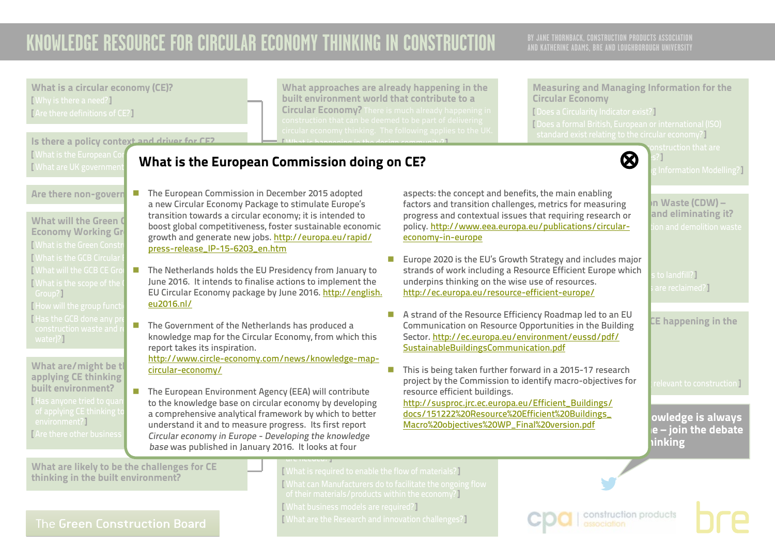**AND KATHERINE ADAMS, BRE AND LOUGHBOROUGH UNIVERSITY**

What is a circular economy (CE)? [ Why is there a need?] [ Are there definitions of CE?]

[ What is the European Co [ What are UK government

Are there non-govern

What will the Green  $\mathsf d$ Economy Working Group [ What is the Green Const **[ What is the GCB Circular** [ What will the GCB CE Gro [ What is the scope of the

Is there a policy context and driver for CE?

What approaches are already happening in the built environment world that contribute to a Circular Economy? There is much already happening in Measuring and Managing Information for the Circular Economy

[ Does a Circularity Indicator exist?] [ Does a formal British, European or international (ISO) standard exist relating to the circular economy?]

 $\bm{\varpi}$ 

Information Modelling?]



factors and transition challenges, metrics for measuring  $\blacksquare$  In Waste (CDW) – progress and contextual issues that requiring research or **and eliminating it?** policy. http://www.eea.europa.eu/publications/circular-netion and demolition waste

strands of work medding a resource Emerent Europe which s to landfill?<br>underpins thinking on the wise use of resources. <http://ec.europa.eu/resource-efficient-europe/> sare reclaimed?

 $\overline{\mathsf{CE}}$  happening in the

relevant to construction **l** 

owledge is always  $e$  – join the debate hinking

What are likely to be the challenges for CE thinking in the built environment?

What are/might be th applying CE thinking built environment? [ Has anyone tried to qua

[ How will the group function [ Has the GCB done any p

environment?] [ Are there other business

Group?]

water)?1

The Green Construction Board

 $[$  What is hannoning in the design community? $[$ 

### <span id="page-3-0"></span>[ What is happening in the manufacturing sector?] [ What is happening in the contracting community?] What is the European Commission doing on CE? [⊗](#page-0-0)

- ember 2015 adopted aspects: the concept and benefits, the main enabling a new Circular Economy Package to stimulate Europe's transition towards a circular economy; it is intended to  $\hspace{1cm}$  progress and conte boost global competitiveness, foster sustainable economic \_\_\_\_\_ policy. <u>http://www.eea</u> growth and generate new jobs. <u>http://europa.eu/rapid/</u> <u>economy-in-e</u> [ Are there any examples of circular economy business ■ The European Commission in December 2015 adopted [press-release\\_IP-15-6203\\_en.htm](http://europa.eu/rapid/press-release_IP-15-6203_en.htm)
- $\blacksquare$  = Europe 2020 is the built environment sector. EU Circular Economy package by June 2016. <u>http://english. http://ec.eu</u><br><u>eu2016.nl/</u>  $\blacksquare$  The Netherlands holds the EU Presidency from January to June 2016. It intends to finalise actions to implement the [eu2016.nl/](http://english.eu2016.nl/)
- $\blacksquare$  The Government of the Netherlands has produced a  $\blacksquare$  Communication knowledge map for the Circular Economy, from which this sector. http://ec.euro **[SustainableBuildingsCommunication.pdf](http://ec.europa.eu/environment/eussd/pdf/SustainableBuildingsCommunication.pdf)** report takes its inspiration.

<u>http://www.circle-economy.com/news/knowledge-map-</u> **n** This is being taken further forward in a 2015-17 research [circular-economy/](http://www.circle-economy.com/news/knowledge-map-circular-economy/)

of applying CE thinking to comprehensive and the built and the built and the built of the built of the built o ■ The European Environment Agency (EEA) will contribute mesource eff to the knowledge base on circular economy by developing a comprehensive analytical framework by which to better <u>docs/151222%20R</u> understand it and to measure progress. Its first report Circular economy in Europe - Developing the knowledge base was published in January 2016. It looks at four

are needed<mark>ry</mark>

[ What is required to enable the flow of materials?] [ What can Manufacturers do to facilitate the ongoing flow of their materials/products within the economy?] [ What business models are required?] [ What are the Research and innovation challenges?]

construction products

**V.2 APRIL 2016** [http://susproc.jrc.ec.europa.eu/Efficient\\_Buildings/](http://susproc.jrc.ec.europa.eu/Efficient_Buildings/docs/151222%20Resource%20Efficient%20Buildings_Macro%20objectives%20WP_Final%20version.pdf)

[docs/151222%20Resource%20Efficient%20Buildings\\_](http://susproc.jrc.ec.europa.eu/Efficient_Buildings/docs/151222%20Resource%20Efficient%20Buildings_Macro%20objectives%20WP_Final%20version.pdf) [Macro%20objectives%20WP\\_Final%20version.pdf](http://susproc.jrc.ec.europa.eu/Efficient_Buildings/docs/151222%20Resource%20Efficient%20Buildings_Macro%20objectives%20WP_Final%20version.pdf)

project by the Commission to identify macro-objectives for

berminaliteaten en nesearee oppertannees in the Bank<br>Sector. <u>http://ec.europa.eu/environment/eussd/pdf</u>/

 $\blacksquare$  A strand of the Resource Efficiency Roadmap led to an EU Communication on Resource Opportunities in the Building

**Europe 2020 is the EU's Growth Strategy and includes major** 

strands of work including a Resource Efficient Europe which

[economy-in-europe](http://www.eea.europa.eu/publications/circular-economy-in-europe)

resource efficient buildings.

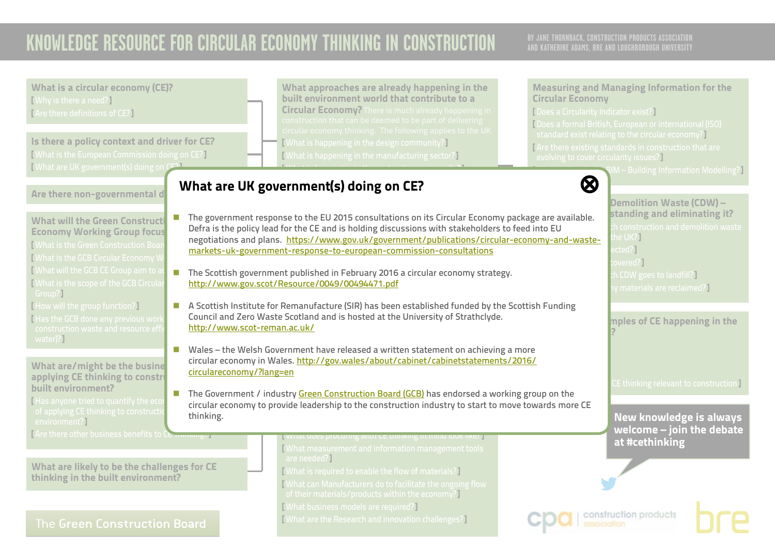<span id="page-4-0"></span>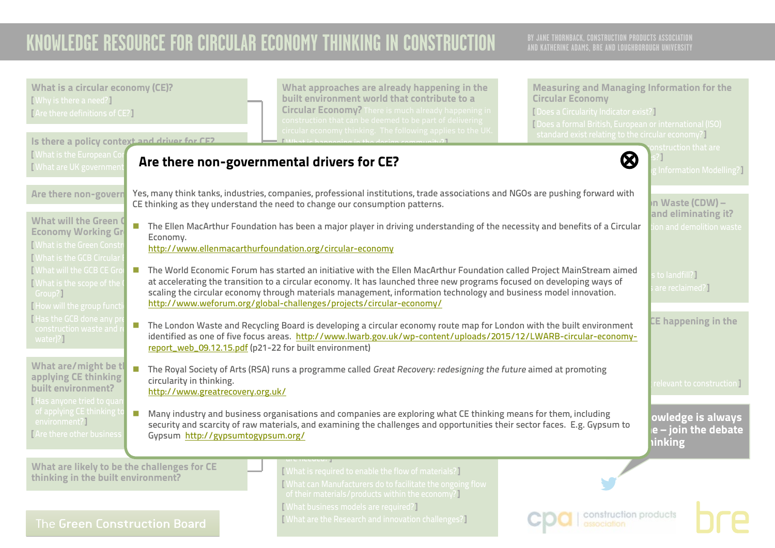<span id="page-5-0"></span>

| What is a circular economy (CE)?<br>[Why is there a need?]<br>[Are there definitions of CE?]                                                                                                                                                                                                                                                                                                                                                                                                                                                                 | What approaches are already happening in the<br>built environment world that contribute to a<br><b>Circular Economy?</b> There is much already happening in<br>construction that can be deemed to be part of delivering<br>circular economy thinking. The following applies to the UK. | <b>Measuring and Managing Information for the</b><br><b>Circular Economy</b><br>[ Does a Circularity Indicator exist?]<br>[Does a formal British, European or international (ISO)<br>standard exist relating to the circular economy? |                                                |
|--------------------------------------------------------------------------------------------------------------------------------------------------------------------------------------------------------------------------------------------------------------------------------------------------------------------------------------------------------------------------------------------------------------------------------------------------------------------------------------------------------------------------------------------------------------|----------------------------------------------------------------------------------------------------------------------------------------------------------------------------------------------------------------------------------------------------------------------------------------|---------------------------------------------------------------------------------------------------------------------------------------------------------------------------------------------------------------------------------------|------------------------------------------------|
| Is there a policy context and driver for CE2<br>[ What is the European Co<br>Mhat are UK governmer                                                                                                                                                                                                                                                                                                                                                                                                                                                           | Are there non-governmental drivers for CE?                                                                                                                                                                                                                                             | $\boldsymbol{\bowtie}$                                                                                                                                                                                                                | onstruction that are<br>Information Modelling? |
| Are there non-govern                                                                                                                                                                                                                                                                                                                                                                                                                                                                                                                                         | Yes, many think tanks, industries, companies, professional institutions, trade associations and NGOs are pushing forward with<br>CE thinking as they understand the need to change our consumption patterns.                                                                           |                                                                                                                                                                                                                                       | In Waste (CDW) –<br>and eliminating it?        |
| <b>What will the Green O</b><br><b>Economy Working Gr</b><br>Economy.<br><b>I What is the Green Constill</b><br>What is the GCB Circular                                                                                                                                                                                                                                                                                                                                                                                                                     | The Ellen MacArthur Foundation has been a major player in driving understanding of the necessity and benefits of a Circular<br>http://www.ellenmacarthurfoundation.org/circular-economy                                                                                                |                                                                                                                                                                                                                                       | ion and demolition waste                       |
| <b>I What will the GCB CE Grd</b><br>The World Economic Forum has started an initiative with the Ellen MacArthur Foundation called Project MainStream aimed<br>at accelerating the transition to a circular economy. It has launched three new programs focused on developing ways of<br><b>[What is the scope of the</b><br>scaling the circular economy through materials management, information technology and business model innovation.<br>Group?]<br>http://www.weforum.org/global-challenges/projects/circular-economy/<br>How will the group functi |                                                                                                                                                                                                                                                                                        |                                                                                                                                                                                                                                       | to landfill?]<br>are reclaimed?]               |
| Has the GCB done any p<br>The London Waste and Recycling Board is developing a circular economy route map for London with the built environment<br>construction waste and<br>identified as one of five focus areas. http://www.lwarb.gov.uk/wp-content/uploads/2015/12/LWARB-circular-economy-<br>water)?]<br>report_web_09.12.15.pdf (p21-22 for built environment)                                                                                                                                                                                         |                                                                                                                                                                                                                                                                                        |                                                                                                                                                                                                                                       | CE happening in the                            |
| What are/might be tl<br>The Royal Society of Arts (RSA) runs a programme called Great Recovery: redesigning the future aimed at promoting<br>applying CE thinking<br>circularity in thinking.<br>built environment?<br>http://www.greatrecovery.org.uk/<br>Has anyone tried to quai                                                                                                                                                                                                                                                                          |                                                                                                                                                                                                                                                                                        |                                                                                                                                                                                                                                       | relevant to construction ]                     |
| of applying CE thinking t<br>Many industry and business organisations and companies are exploring what CE thinking means for them, including<br>environment?]<br>security and scarcity of raw materials, and examining the challenges and opportunities their sector faces. E.g. Gypsum to<br><b>TAre there other business</b><br>Gypsum http://gypsumtogypsum.org/<br><b>hinking</b>                                                                                                                                                                        |                                                                                                                                                                                                                                                                                        |                                                                                                                                                                                                                                       | owledge is always<br>$e$ – join the debate     |
| What are likely to be the challenges for CE<br>thinking in the built environment?                                                                                                                                                                                                                                                                                                                                                                                                                                                                            | [What is required to enable the flow of materials?]<br>What can Manufacturers do to facilitate the ongoing flow<br>of their materials/products within the economy?                                                                                                                     |                                                                                                                                                                                                                                       |                                                |
| [What business models are required?]<br>construction products<br>[What are the Research and innovation challenges?]<br>The Green Construction Board                                                                                                                                                                                                                                                                                                                                                                                                          |                                                                                                                                                                                                                                                                                        |                                                                                                                                                                                                                                       |                                                |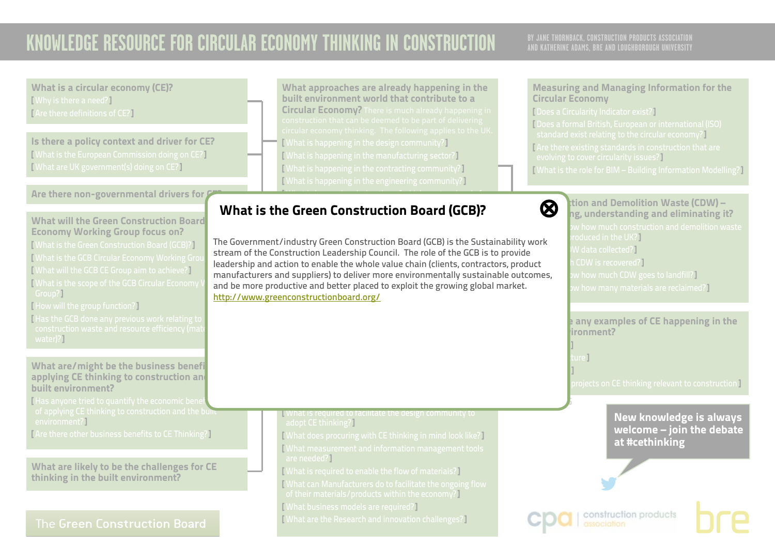## **AND KATHERINE ADAMS, BRE AND LOUGHBOROUGH UNIVERSITY**

Circular Economy

[ Does a Circularity Indicator exist?]

evolving to cover circularity issues?]

Measuring and Managing Information for the

[ Does a formal British, European or international (ISO) standard exist relating to the circular economy?] [ Are there existing standards in construction that are

[ What is the role for BIM – Building Information Modelling?]

What is a circular economy (CE)? [ Why is there a need?] [ Are there definitions of CE?]

Is there a policy context and driver for CE? [ What is the European Commission doing on CE?] [ What are UK government(s) doing on CE?]

### Are there non-governmental drivers for  $\ell$

What will the Green Construction Board Economy Working Group focus on?

[ What is the Green Construction Board (GCB)?] [ What is the GCB Circular Economy Working Group [ What will the GCB CE Group aim to achieve?] [ What is the scope of the GCB Circular Economy Group?]

[ How will the group function?]

[ Has the GCB done any previous work relating to water)?]

What are/might be the business benefi applying CE thinking to construction and built environment?

[Has anyone tried to quantify the economic bene  $\frac{1}{\sqrt{2}}$  of applying CE thinking to construction and the built environment?]

[ Are there other business benefits to CE Thinking?]

What are likely to be the challenges for CE thinking in the built environment?

### The Green Construction Board

What approaches are already happening in the built environment world that contribute to a Circular Economy? There is much already happening in [ What is happening in the design community?] [ What is happening in the manufacturing sector?] [ What is happening in the contracting community?] [ What is happening in the engineering community?]

 $\mathcal{M}(\mathcal{M})$  is happening during the refugee of  $\mathcal{M}(\mathcal{M})$ 

#### <span id="page-6-0"></span> $\epsilon$ What is the Green Construction Board (GCB)? ◎ ◎

The Government/industry Green Construction Board (GCB) is the Sustainability work stream of the Construction Leadership Council. The role of the GCB is to provide leadership and action to enable the whole value chain (clients, contractors, product and be more productive and better placed to exploit the grow<br><mark><http://www.greenconstructionboard.org/></mark> manufacturers and suppliers) to deliver more environmentally sustainable outcomes, and be more productive and better placed to exploit the growing global market.

**N** What is required to facilitate the design community to

[ What does procuring with CE thinking in mind look like?] [ What measurement and information management tools

[ What can Manufacturers do to facilitate the ongoing flow of their materials/products within the economy?]

[ What is required to enable the flow of materials?]

[ What are the Research and innovation challenges?]

[ What business models are required?]

adopt CE thinking?]

are needed?]

 $\bigotimes$  tion and Demolition Waste (CDW) – ng, understanding and eliminating it? roduced in the UK?] W data collected?] CDW is recovered?]  $\bm v$  how much CDW goes to landfill?  $\bm l$  $\bm v$  how many materials are reclaimed?]

> $\mathsf k$  any examples of CE happening in the  $binom{m}{k}$

[ Infrastructure ]

**V.2 APRIL 2016**

[ Buildings ]

[ Materials ]

 $\overline{\rm{projects}}$  on CE thinking relevant to construction  $\overline{\rm{I}}$ 



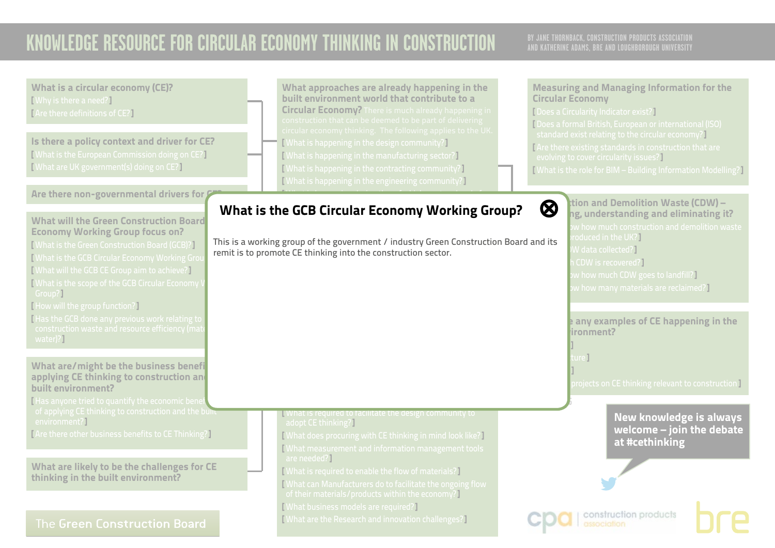## **AND KATHERINE ADAMS, BRE AND LOUGHBOROUGH UNIVERSITY**

<span id="page-7-0"></span>What is a circular economy (CE)? What approaches are already happening in the Measuring and Managing Information for the built environment world that contribute to a [ Why is there a need?] Circular Economy Circular Economy? There is much already happening in [ Does a Circularity Indicator exist?] [ Are there definitions of CE?] [ Does a formal British, European or international (ISO) standard exist relating to the circular economy?] Is there a policy context and driver for CE? [ What is happening in the design community?] [Are there existing standards in construction that are [ What is the European Commission doing on CE?] [ What is happening in the manufacturing sector?] evolving to cover circularity issues?] [ What are UK government(s) doing on CE?] [ What is happening in the contracting community?] [ What is the role for BIM – Building Information Modelling?] [ What is happening in the engineering community?] Are there non-governmental drivers for  $\ell$  $\mathcal{M}(\mathcal{M})$  is happening during the refugee of  $\mathcal{M}(\mathcal{M})$  $\bigotimes$  tion and Demolition Waste (CDW) – What is the GCB Circular Economy Working Group? ◎  $l$ conc ng, understanding and eliminating it? What will the Green Construction Board Economy Working Group focus on? oduced in the UK?] This is a working group of the government / industry Green Construction Board and its [ What is the Green Construction Board (GCB)?]  $N$  data collected?] remit is to promote CE thinking into the construction sector. [ What is the GCB Circular Economy Working Group CDW is recovered?] [ What will the GCB CE Group aim to achieve?]  $\bm{\mathsf w}$  how much CDW goes to landfill?  $\bm{\mathsf I}$ [ What is the scope of the GCB Circular Economy \  $w$  how many materials are reclaimed?] Group?] [ How will the group function?] [ Has the GCB done any previous work relating to **Are there any examples of CE happening in the**  $binom{m}{k}$ water)?] [ Buildings ]  $\text{I}$  include  $\mathbb{I}$ What are/might be the business benefi [ Materials ] applying CE thinking to construction and  $\overline{\rm{projects}}$  on CE thinking relevant to construction  $\overline{\rm{I}}$ built environment? [Has anyone tried to quantify the economic bene **V.2 APRIL 2016** of applying CE thinking to construction and the built **N** What is required to facilitate the design community to New knowledge is always environment?] adopt CE thinking?] welcome – join the debate [ Are there other business benefits to CE Thinking?] [ What does procuring with CE thinking in mind look like?] at #cethinking [ What measurement and information management tools are needed?] What are likely to be the challenges for CE [ What is required to enable the flow of materials?] thinking in the built environment? [ What can Manufacturers do to facilitate the ongoing flow of their materials/products within the economy?] [ What business models are required?] construction products [ What are the Research and innovation challenges?] The Green Construction Board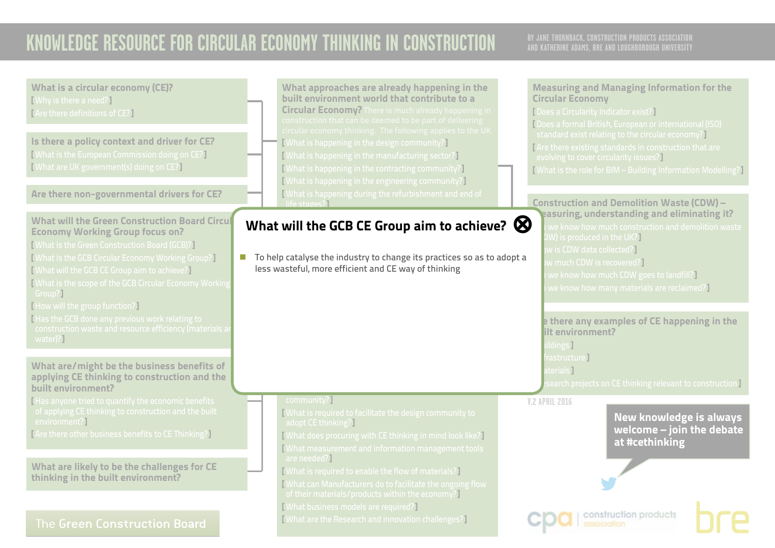<span id="page-8-0"></span>

| What is a circular economy (CE)?<br>[Why is there a need?]<br>[Are there definitions of CE?]<br>Is there a policy context and driver for CE?<br>[What is the European Commission doing on CE?]<br>[What are UK government(s) doing on CE?]<br>Are there non-governmental drivers for CE?                                                                                                                                                                                                       | What approaches are already happening in the<br>built environment world that contribute to a<br><b>Circular Economy?</b> There is much already happening in<br>construction that can be deemed to be part of delivering<br>circular economy thinking. The following applies to the UK.<br><b>[What is happening in the design community?]</b><br>[What is happening in the manufacturing sector?]<br>[What is happening in the contracting community?]<br>[What is happening in the engineering community?]<br>What is happening during the refurbishment and end of<br>life stages? | <b>Measuring and Managing Information for the</b><br><b>Circular Economy</b><br>[ Does a Circularity Indicator exist?]<br>Does a formal British, European or international (ISO)<br>standard exist relating to the circular economy?<br>Are there existing standards in construction that are<br>evolving to cover circularity issues?]<br>[What is the role for BIM - Building Information Modelling?]<br><b>Construction and Demolition Waste (CDW) -</b> |
|------------------------------------------------------------------------------------------------------------------------------------------------------------------------------------------------------------------------------------------------------------------------------------------------------------------------------------------------------------------------------------------------------------------------------------------------------------------------------------------------|--------------------------------------------------------------------------------------------------------------------------------------------------------------------------------------------------------------------------------------------------------------------------------------------------------------------------------------------------------------------------------------------------------------------------------------------------------------------------------------------------------------------------------------------------------------------------------------|-------------------------------------------------------------------------------------------------------------------------------------------------------------------------------------------------------------------------------------------------------------------------------------------------------------------------------------------------------------------------------------------------------------------------------------------------------------|
| <b>What will the Green Construction Board Circul</b><br><b>Economy Working Group focus on?</b><br>[ What is the Green Construction Board (GCB)?]<br>[ What is the GCB Circular Economy Working Group?]<br>[What will the GCB CE Group aim to achieve?]<br><b>Nhat is the scope of the GCB Circular Economy Working</b><br>Group?]<br>[How will the group function?]<br>Has the GCB done any previous work relating to<br>construction waste and resource efficiency (materials are<br>water)?] | What will the GCB CE Group aim to achieve? $\otimes$<br>To help catalyse the industry to change its practices so as to adopt a<br>less wasteful, more efficient and CE way of thinking                                                                                                                                                                                                                                                                                                                                                                                               | easuring, understanding and eliminating it?<br>we know how much construction and demolition waste<br>W) is produced in the UK?]<br>w is CDW data collected?]<br>w much CDW is recovered?]<br>we know how much CDW goes to landfill?<br>we know how many materials are reclaimed?]<br>e there any examples of CE happening in the<br>ilt environment?<br><b>Idings</b> ]                                                                                     |
| What are/might be the business benefits of<br>applying CE thinking to construction and the<br>built environment?<br>Has anyone tried to quantify the economic benefits<br>of applying CE thinking to construction and the built<br>environment?]<br>[Are there other business benefits to CE Thinking?]<br>What are likely to be the challenges for CE<br>thinking in the built environment?                                                                                                   | community?]<br>What is required to facilitate the design community to<br>adopt CE thinking?<br><b>[What does procuring with CE thinking in mind look like?]</b><br>What measurement and information management tools<br>are needed?]<br>[What is required to enable the flow of materials?]<br>What can Manufacturers do to facilitate the ongoing flow                                                                                                                                                                                                                              | rastructure]<br>terial <b>s</b> I<br>search projects on CE thinking relevant to construction I<br><b>V.2 APRIL 2016</b><br><b>New knowledge is always</b><br>welcome - join the debate<br>at #cethinking                                                                                                                                                                                                                                                    |
| The Green Construction Board                                                                                                                                                                                                                                                                                                                                                                                                                                                                   | of their materials/products within the economy?<br><b>[What business models are required?]</b><br><b>[What are the Research and innovation challenges?]</b>                                                                                                                                                                                                                                                                                                                                                                                                                          | construction products<br>association                                                                                                                                                                                                                                                                                                                                                                                                                        |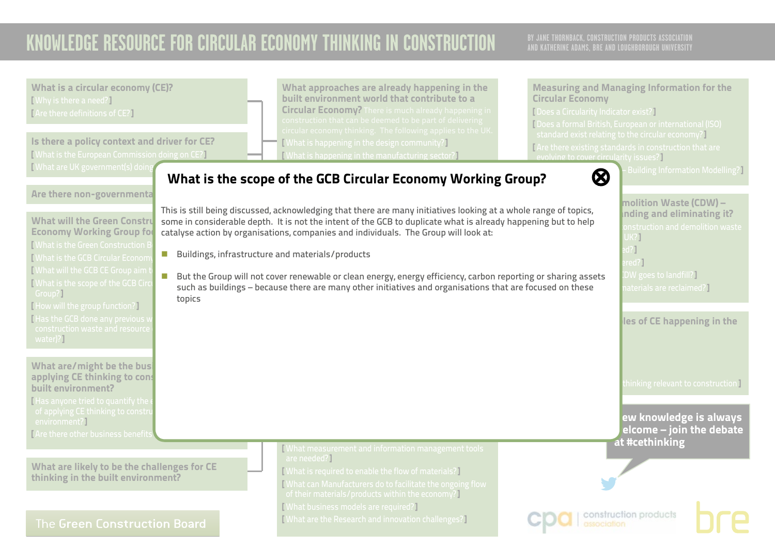<span id="page-9-0"></span>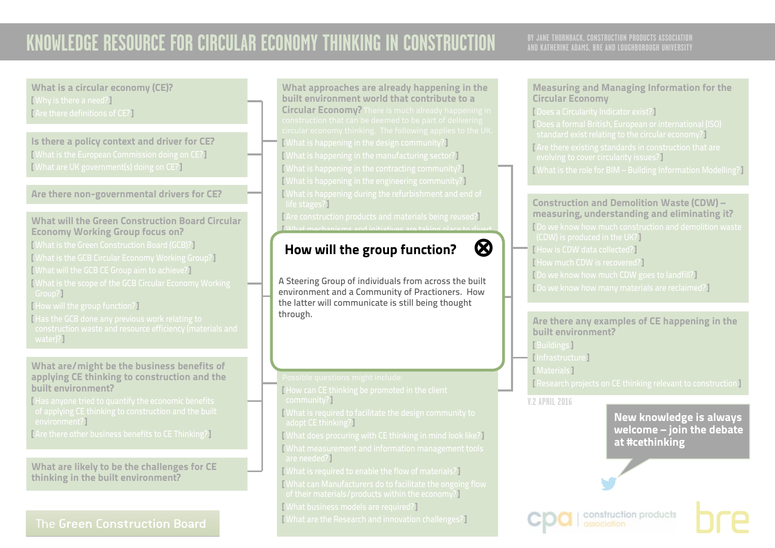## **AND KATHERINE ADAMS, BRE AND LOUGHBOROUGH UNIVERSITY**

What is a circular economy (CE)? [ Why is there a need?] [ Are there definitions of CE?]

Is there a policy context and driver for CE? [ What is the European Commission doing on CE?] [ What are UK government(s) doing on CE?]

Are there non-governmental drivers for CE?

### What will the Green Construction Board Circular Economy Working Group focus on?

- [ What is the Green Construction Board (GCB)?]
- [ What is the GCB Circular Economy Working Group?]
- [ What will the GCB CE Group aim to achieve?]
- [ What is the scope of the GCB Circular Economy Working Group?]
- [ How will the group function?]
- [Has the GCB done any previous work relating to ] water)?]

#### What are/might be the business benefits of applying CE thinking to construction and the built environment?

[ Has anyone tried to quantify the economic benefits environment?]

[ Are there other business benefits to CE Thinking?]

What are likely to be the challenges for CE thinking in the built environment?

### The Green Construction Board

What approaches are already happening in the built environment world that contribute to a Circular Economy? There is much already happening in [ What is happening in the design community?] [ What is happening in the manufacturing sector?] [ What is happening in the contracting community?] [ What is happening in the engineering community?] [ What is happening during the refurbishment and end of life stages?] [ Are construction products and materials being reused?]

 $\blacksquare$  What mechanisms and initiatives are taking place to divert

### <span id="page-10-0"></span>construction and demolition waste from landfill?] How will the group function?  $\bigotimes$



environment and a Community of Practioners. How<br>the latter will communicate is still being thought A Steering Group of individuals from across the built the latter will communicate is still being thought through.

benefits that are predicted with circular economy thinking.

[ How can CE thinking be promoted in the client

community?]

- [ What is required to facilitate the design community to adopt CE thinking?]
- [ What does procuring with CE thinking in mind look like?] [ What measurement and information management tools are needed?]
- [ What is required to enable the flow of materials?]
- [ What can Manufacturers do to facilitate the ongoing flow
- of their materials/products within the economy?]
- [ What business models are required?]
- [ What are the Research and innovation challenges?]

### Measuring and Managing Information for the Circular Economy

[ Does a Circularity Indicator exist?]

[ Does a formal British, European or international (ISO) standard exist relating to the circular economy?] [ Are there existing standards in construction that are evolving to cover circularity issues?] [ What is the role for BIM – Building Information Modelling?]

#### Construction and Demolition Waste (CDW) – measuring, understanding and eliminating it?

[ Do we know how much construction and demolition waste (CDW) is produced in the UK?] [ How is CDW data collected?] [ How much CDW is recovered?] [ Do we know how much CDW goes to landfill?] [ Do we know how many materials are reclaimed?]

Are there any examples of CE happening in the built environment?

- [ Buildings ]
- [ Infrastructure ]
- [ Materials ]

[ Research projects on CE thinking relevant to construction ]

construction products

**V.2 APRIL 2016**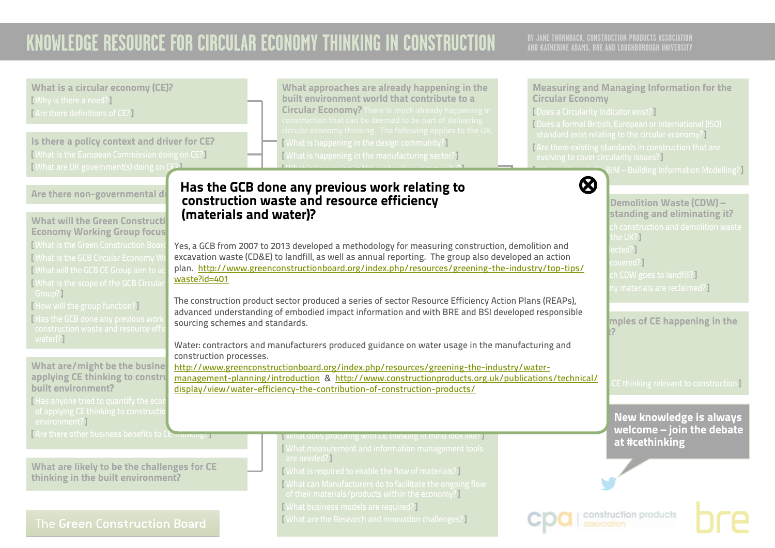<span id="page-11-0"></span>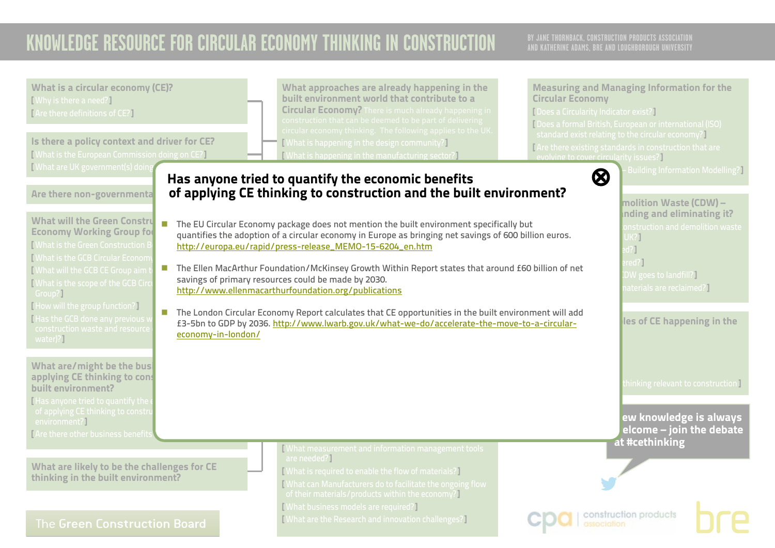<span id="page-12-0"></span>

| What is a circular economy (CE)?<br>[Why is there a need?]<br>[Are there definitions of CE?]<br>Is there a policy context and driver for CE?<br>[What is the European Commission doing on CE?]                                                                                                                                                                                                                                                              | What approaches are already happening in the<br>built environment world that contribute to a<br><b>Circular Economy?</b> There is much already happening in<br>construction that can be deemed to be part of delivering<br>circular economy thinking. The following applies to the UK.<br><b>[What is happening in the design community?]</b><br><b>What is happening in the manufacturing sector?</b>                                                                                                                                                                                                                                                                                                                                                                                                                 | <b>Measuring and Managing Information for the</b><br><b>Circular Economy</b><br>[ Does a Circularity Indicator exist?]<br>[Does a formal British, European or international (ISO)<br>standard exist relating to the circular economy?<br>Are there existing standards in construction that are<br>evolving to cover circularity issues? |  |
|-------------------------------------------------------------------------------------------------------------------------------------------------------------------------------------------------------------------------------------------------------------------------------------------------------------------------------------------------------------------------------------------------------------------------------------------------------------|------------------------------------------------------------------------------------------------------------------------------------------------------------------------------------------------------------------------------------------------------------------------------------------------------------------------------------------------------------------------------------------------------------------------------------------------------------------------------------------------------------------------------------------------------------------------------------------------------------------------------------------------------------------------------------------------------------------------------------------------------------------------------------------------------------------------|-----------------------------------------------------------------------------------------------------------------------------------------------------------------------------------------------------------------------------------------------------------------------------------------------------------------------------------------|--|
| <b>[What are UK government(s) doing</b><br>Are there non-governmenta<br><b>What will the Green Constru</b><br>T.<br><b>Economy Working Group for</b><br><b>What is the Green Construction E</b><br><b>Nhat is the GCB Circular Econom</b><br>What will the GCB CE Group aim t<br>What is the scope of the GCB Circ<br>Group?]<br>[How will the group function?]<br>Has the GCB done any previous v<br>construction waste and resource<br>economy-in-london/ | Has anyone tried to quantify the economic benefits<br>of applying CE thinking to construction and the built environment?<br>The EU Circular Economy package does not mention the built environment specifically but<br>quantifies the adoption of a circular economy in Europe as bringing net savings of 600 billion euros.<br>http://europa.eu/rapid/press-release_MEMO-15-6204_en.htm<br>The Ellen MacArthur Foundation/McKinsey Growth Within Report states that around £60 billion of net<br>savings of primary resources could be made by 2030.<br>http://www.ellenmacarthurfoundation.org/publications<br>The London Circular Economy Report calculates that CE opportunities in the built environment will add<br>£3-5bn to GDP by 2036. http://www.lwarb.gov.uk/what-we-do/accelerate-the-move-to-a-circular- | - Building Information Modelling?<br>$\otimes$<br>molition Waste (CDW) -<br>inding and eliminating it?<br>onstruction and demolition waste<br>UK?<br>$d$ ?]<br>red?)<br>DW goes to landfill?]<br>naterials are reclaimed?]<br>les of CE happening in the                                                                                |  |
| water)?<br>What are/might be the busi<br>applying CE thinking to cons<br>built environment?<br>I Has anyone tried to quantify the<br>of applying CE thinking to constru<br>environment?]<br>I Are there other business benefits                                                                                                                                                                                                                             |                                                                                                                                                                                                                                                                                                                                                                                                                                                                                                                                                                                                                                                                                                                                                                                                                        | thinking relevant to construction 1<br>ew knowledge is always<br>elcome – join the debate<br>at #cethinking                                                                                                                                                                                                                             |  |
| What are likely to be the challenges for CE<br>thinking in the built environment?<br><b>The Green Construction Board</b>                                                                                                                                                                                                                                                                                                                                    | What measurement and information management tools<br>are needed?]<br>[What is required to enable the flow of materials?]<br>What can Manufacturers do to facilitate the ongoing flow<br>of their materials/products within the economy?]<br>[What business models are required?]<br>[What are the Research and innovation challenges?]                                                                                                                                                                                                                                                                                                                                                                                                                                                                                 | construction products                                                                                                                                                                                                                                                                                                                   |  |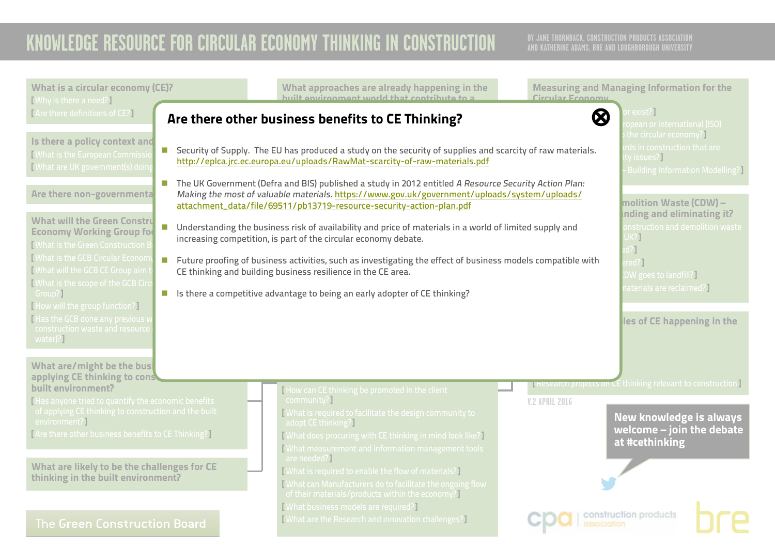<span id="page-13-0"></span>

| What is a circular economy (CE)?<br>[Why is there a need?]                                                               | What approaches are already happening in the<br>huilt environment world that contribute to a                                                                                                                                                                                  | <b>Measuring and Managing Information for the</b><br><b>Circular Economy</b>                                       |
|--------------------------------------------------------------------------------------------------------------------------|-------------------------------------------------------------------------------------------------------------------------------------------------------------------------------------------------------------------------------------------------------------------------------|--------------------------------------------------------------------------------------------------------------------|
| [Are there definitions of CE?]                                                                                           | Are there other business benefits to CE Thinking?                                                                                                                                                                                                                             | or exist? $\overline{\phantom{a}}$<br>$\bm{\varnothing}$<br>opean or international (ISO)<br>the circular economy?] |
| Is there a policy context and<br><b>I</b> What is the European Commissi<br><b>I</b> What are UK government(s) doin       | <b>E</b> Security of Supply. The EU has produced a study on the security of supplies and scarcity of raw materials.<br>http://eplca.jrc.ec.europa.eu/uploads/RawMat-scarcity-of-raw-materials.pdf                                                                             | rds in construction that are<br>ty issues? ]<br><b>Building Information Modelling?</b>                             |
| $\mathcal{L}_{\mathcal{A}}$<br>Are there non-governmental                                                                | The UK Government (Defra and BIS) published a study in 2012 entitled A Resource Security Action Plan:<br>Making the most of valuable materials. https://www.gov.uk/government/uploads/system/uploads/<br>attachment_data/file/69511/pb13719-resource-security-action-plan.pdf | molition Waste (CDW) -<br>Inding and eliminating it?                                                               |
| <b>What will the Green Constru</b><br>n.<br><b>Economy Working Group for</b><br><b>[What is the Green Construction E</b> | Understanding the business risk of availability and price of materials in a world of limited supply and<br>increasing competition, is part of the circular economy debate.                                                                                                    | onstruction and demolition waste<br>UK?]<br>$d$ ?]                                                                 |
| <b>[What is the GCB Circular Econom</b><br>  What will the GCB CE Group aim t<br>What is the scope of the GCB Circ       | Future proofing of business activities, such as investigating the effect of business models compatible with<br>CE thinking and building business resilience in the CE area.                                                                                                   | red?<br>DW goes to landfill?                                                                                       |
| Group?]<br>[How will the group function?]                                                                                | In Is there a competitive advantage to being an early adopter of CE thinking?                                                                                                                                                                                                 | aterials are reclaimed?                                                                                            |
| [Has the GCB done any previous v<br>construction waste and resource<br>water)?]                                          |                                                                                                                                                                                                                                                                               | les of CE happening in the                                                                                         |
| What are/might be the busi<br>applying CE thinking to cons                                                               |                                                                                                                                                                                                                                                                               |                                                                                                                    |
| built environment?<br>Has anyone tried to quantify the economic benefits                                                 | How can CE thinking be promoted in the client<br>community?]                                                                                                                                                                                                                  | <b>IN RESEARCH PROJECTS ON CE thinking relevant to construction</b><br><b>V.2 APRIL 2016</b>                       |
| of applying CE thinking to construction and the built<br>environment?]                                                   | What is required to facilitate the design community to                                                                                                                                                                                                                        | <b>New knowledge is always</b>                                                                                     |
| [Are there other business benefits to CE Thinking?]                                                                      | adopt CE thinking?<br>[What does procuring with CE thinking in mind look like?]<br>[What measurement and information management tools                                                                                                                                         | welcome - join the debate<br>at #cethinking                                                                        |
| What are likely to be the challenges for CE<br>thinking in the built environment?                                        | are needed?]<br>[What is required to enable the flow of materials?]<br>[What can Manufacturers do to facilitate the ongoing flow<br>of their materials/products within the economy?]                                                                                          |                                                                                                                    |
| The Green Construction Board                                                                                             | <b>[What business models are required?]</b><br><b>[What are the Research and innovation challenges?]</b>                                                                                                                                                                      | construction products                                                                                              |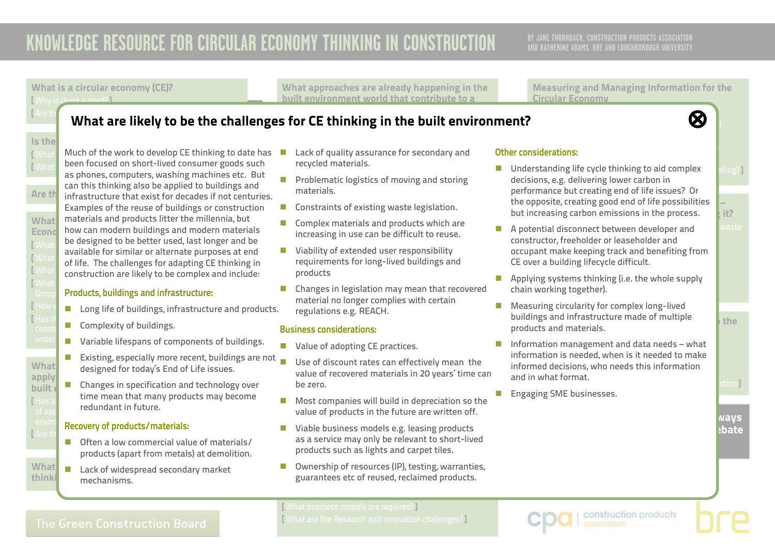What is a circular economy (CE)? [ Why is there a need?]

What approaches are already happening in the built environment world that contribute to a

Measuring and Managing Information for the Circular Economy

 $\mathcal{D}$  for international British, European or international (ISO) international (ISO) international (ISO) in

#### <span id="page-14-0"></span> $\frac{1}{2}$  are the definitions of  $\frac{1}{2}$  and  $\frac{1}{2}$  are interesting in the interest of  $\frac{1}{2}$  and  $\frac{1}{2}$  are interesting in the interest of  $\frac{1}{2}$  and  $\frac{1}{2}$  are interest of  $\frac{1}{2}$  and  $\frac{1}{2}$  are in What are likely to be the challenges for CE thinking in the built environment? ◎ ◎ circular economy thinking. The following applies to the UK.

# $Is$  the

[What  $\blacksquare$  Much of the work to develop CE thinking to date has EWhat Been focused on Short-fived consumer goods such<br>as phones, computers, washing machines etc. But Are the infrastructure that exist for decades if not centuries. What materials and products litter the millennia, but Econo how can modern buildings and modern materials [What is the Green Construction Board (GCB)?<br>[What is available for similar or alternate purposes at end [What is the Gobbies Circular Economic Property of life. The challenges for adapting CE thinking in  $\lceil$   $\textsf{What} \rceil$  construction are likely to be complex and include:  $\blacksquare$  What is the scope of the scope of the GCB  $\blacksquare$ [ What<br>|Group been focused on short-lived consumer goods such can this thinking also be applied to buildings and Examples of the reuse of buildings or construction be designed to be better used, last longer and be

### Products, buildings and infrastructure:

- $\begin{array}{|l|} \hline \text{How}\ \textcolor{red}{\mathsf{v}} & \text{\quad \text{Long life of buildings, infrastructure and products.}} \hline \end{array}$
- $[$  Has the  $G_2$  does any previous work relating to the  $\overline{G}$  $\frac{1}{\text{const}}$  **Complexity of buildings.** 
	- **n** Variable lifespans of components of buildings.
- $\text{What}$  designed for today's End of Life issues. applying  $C = C$  this construction and the construction and the construction and the construction and the construction and the construction  $C = C$ Existing, especially more recent, buildings are not
- built  $\left\| \rule{0pt}{10pt} \right\|$  Changes in specification and technology over  $r_{\text{max}}$  and the mean that many products means of any redundant in future. of applying  $C = \text{C}$  the construction and the built of and the built  $\text{C}$ time mean that many products may become

### enviro**n** Recovery of products/materials:

- [ Are there of  $\blacksquare$  often a low commercial value of materials/ products (apart from metals) at demolition.
- What  $\blacksquare$  Lack of widespread secondary market thinki<sub>n</sub> mechanisms.
- $\blacksquare$  Lack of quality assurance for secondary and recycle in the contraction recycled materials.
- **n** Problematic logistics of moving and storing  $\blacksquare$  What is happening the refugee refugee  $\blacksquare$ materials.
- $\blacksquare$  Constraints of existing waste legislation.
- $\blacksquare$  Complex materials and products which are  $\frac{1}{2}$  increases and increases  $\frac{1}{2}$  increases are taking place to the taking place to diverte the sequence to diverte the sequence of  $\frac{1}{2}$  increases to diverte the sequence of  $\frac{1}{2}$  increases to diverte t increasing in use can be difficult to reuse.
- $\blacksquare$  Viability of extended user responsibility requirements for long-lived buildings and products
- Changes in legislation may mean that reo<br>material no longer complies with certain<br>——————————————————— n Changes in legislation may mean that recovered regulations e.g. REACH.

#### Business considerations: the built environment sector.

- $\blacksquare$  Value of adopting CE practices.
- $\blacksquare$  Use of discount rates can effectively mean the  $\bullet$  belong that are predicted with circular experiments of  $\bullet$  . This canonical experiment  $\bullet$ value of recovered materials in 20 years' time can<br>.  $\mathcal{L}$  denote the can certain the client in the client in the client  $\mathcal{L}$ be zero.
- $\blacksquare$  Most companies will build in depreciation so the value of products in the future are written off.
- $\blacksquare$  Viable business models e.g. leasing products as a service may only be relevant to short-lived products such as lights and carpet tiles.
- Ownership of resources (IP), testing, warranties, provide the flow of materials and materials. guarantees etc of reused, reclaimed products.

#### **Other considerations:** That are that are that are  $\mathbf{r} = \mathbf{r}$ evolving to cover cover cover cover cover cover cover cover cover cover cover cover cover cover cover cover co

- $\blacksquare$  Understanding life cycle thinking to aid complex  $\blacksquare$ the opposite, creating good end of life possibilities  $\begin{array}{|c|c|} \hline \end{array}$ but increasing carbon emissions in the process.  $\qquad$  it? decisions, e.g. delivering lower carbon in performance but creating end of life issues? Or
- $\blacksquare$  A potential disconnect between developer and  $\blacksquare$  waste constructor, freeholder or leaseholder and occupant make keeping track and benefiting from CE over a building lifecycle difficult.
- **n** Applying systems thinking (i.e. the whole supply chain working together).
- buildings and infrastructure made of multiple products and materials.  $\blacksquare$  Measuring circularity for complex long-lived
- $\blacksquare$  Information management and data needs what information is needed, when is it needed to make monned decisions,<br>and in what format. research projects on CE thinking relevant to construction  $\sim$ informed decisions, who needs this information
- **V.2 APRIL 2016** n Engaging SME businesses.

ways



[ What business models are required?] [ What are the Research and innovation challenges?]

of their materials/products within the economy?]

construction products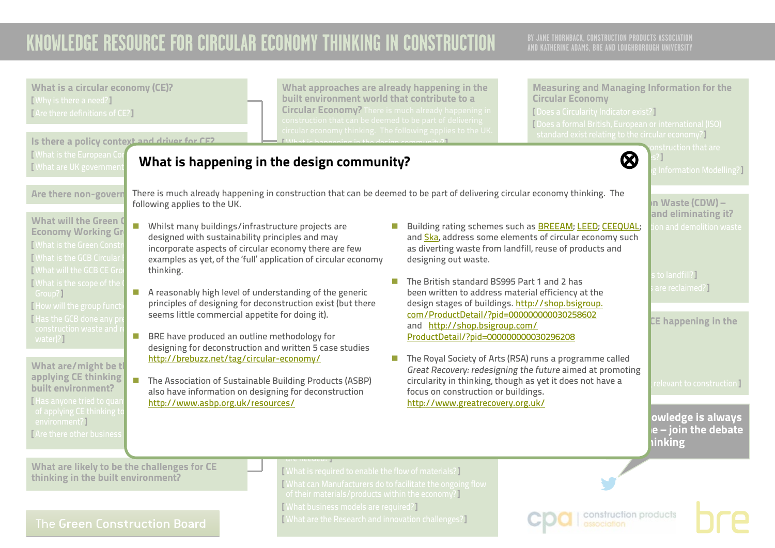BY JANE THORNBACK, CONSTRUCTION PRODUCTS ASSOCIATION<br>AND KATHERINE ADAMS, BRE AND LOUGHBOROUGH UNIVERSITY

<span id="page-15-0"></span>

| <b>What is a circular economy (CE)?</b><br>[Why is there a need?]<br>[Are there definitions of CE?]<br>Is there a policy context and driver for CE2                                                                                                                                                                                                                                                                                                                                                                                                                                                                                                                                                                                                                                                                                                                                                                                                                                                                                                                                                                                                                                | built environment world that contribute to a<br>$\overline{\text{construction}}$ that can be deemed to be part of delivering                                                                                                           | What approaches are already happening in the<br><b>Circular Economy?</b> There is much already happening in<br>circular economy thinking. The following applies to the UK                                                                                                                                                                                                                                                                                                                                                                                                               | <b>Measuring and Managing Information for the</b><br><b>Circular Economy</b><br>[Does a Circularity Indicator exist?]<br>[Does a formal British, European or international (ISO)<br>standard exist relating to the circular economy?                                                                                                 |                                                                                                                                                                                                                                                                            |
|------------------------------------------------------------------------------------------------------------------------------------------------------------------------------------------------------------------------------------------------------------------------------------------------------------------------------------------------------------------------------------------------------------------------------------------------------------------------------------------------------------------------------------------------------------------------------------------------------------------------------------------------------------------------------------------------------------------------------------------------------------------------------------------------------------------------------------------------------------------------------------------------------------------------------------------------------------------------------------------------------------------------------------------------------------------------------------------------------------------------------------------------------------------------------------|----------------------------------------------------------------------------------------------------------------------------------------------------------------------------------------------------------------------------------------|-----------------------------------------------------------------------------------------------------------------------------------------------------------------------------------------------------------------------------------------------------------------------------------------------------------------------------------------------------------------------------------------------------------------------------------------------------------------------------------------------------------------------------------------------------------------------------------------|--------------------------------------------------------------------------------------------------------------------------------------------------------------------------------------------------------------------------------------------------------------------------------------------------------------------------------------|----------------------------------------------------------------------------------------------------------------------------------------------------------------------------------------------------------------------------------------------------------------------------|
| <b>Nhat is the European Co</b><br>Mhat are UK governmer<br>Are there non-govern<br>following applies to the UK.<br><b>What will the Green C</b><br>п<br>Whilst many buildings/infrastructure projects are<br><b>Economy Working Gr</b><br>designed with sustainability principles and may<br><b>[What is the Green Constr</b><br>incorporate aspects of circular economy there are few<br><b>[What is the GCB Circular</b><br><b>[What will the GCB CE Gro</b><br>thinking.<br>[What is the scope of the<br>A reasonably high level of understanding of the generic<br>Group?]<br>[How will the group function<br>seems little commercial appetite for doing it).<br>I Has the GCB done any pr<br>construction waste and r<br>BRE have produced an outline methodology for<br>water)?]<br>designing for deconstruction and written 5 case studies<br>http://brebuzz.net/tag/circular-economy/<br>What are/might be tl<br>applying CE thinking<br>built environment?<br>also have information on designing for deconstruction<br>I Has anyone tried to quar<br>http://www.asbp.org.uk/resources/<br>of applying CE thinking to<br>environment?]<br><b>TAre there other business</b> | What is happening in the design community?<br>examples as yet, of the 'full' application of circular economy<br>principles of designing for deconstruction exist (but there<br>The Association of Sustainable Building Products (ASBP) | There is much already happening in construction that can be deemed to be part of delivering circular economy thinking. The<br>as diverting waste from landfill, reuse of products and<br>designing out waste.<br>The British standard BS995 Part 1 and 2 has<br><b>COL</b><br>been written to address material efficiency at the<br>design stages of buildings. http://shop.bsigroup.<br>com/ProductDetail/?pid=000000000030258602<br>and http://shop.bsigroup.com/<br>ProductDetail/?pid=000000000030296208<br>focus on construction or buildings.<br>http://www.greatrecovery.org.uk/ | $\bm{\varnothing}$<br>Building rating schemes such as <b>BREEAM</b> ; LEED; CEEQUAL;<br>and Ska, address some elements of circular economy such<br>The Royal Society of Arts (RSA) runs a programme called<br>Great Recovery: redesigning the future aimed at promoting<br>circularity in thinking, though as yet it does not have a | nstruction that are<br>Information Modelling?]<br>In Waste (CDW) -<br>and eliminating it?<br>on and demolition waste<br>to landfill?]<br>are reclaimed?]<br>CE happening in the<br>relevant to construction I<br>owledge is always<br>e – join the debate<br><b>inking</b> |
| What are likely to be the challenges for CE<br>thinking in the built environment?<br><b>The Green Construction Board</b>                                                                                                                                                                                                                                                                                                                                                                                                                                                                                                                                                                                                                                                                                                                                                                                                                                                                                                                                                                                                                                                           | [What is required to enable the flow of materials?]<br>of their materials/products within the economy?]<br>[What business models are required?]<br>[What are the Research and innovation challenges?]                                  | [What can Manufacturers do to facilitate the ongoing flow                                                                                                                                                                                                                                                                                                                                                                                                                                                                                                                               | construction products<br>association                                                                                                                                                                                                                                                                                                 |                                                                                                                                                                                                                                                                            |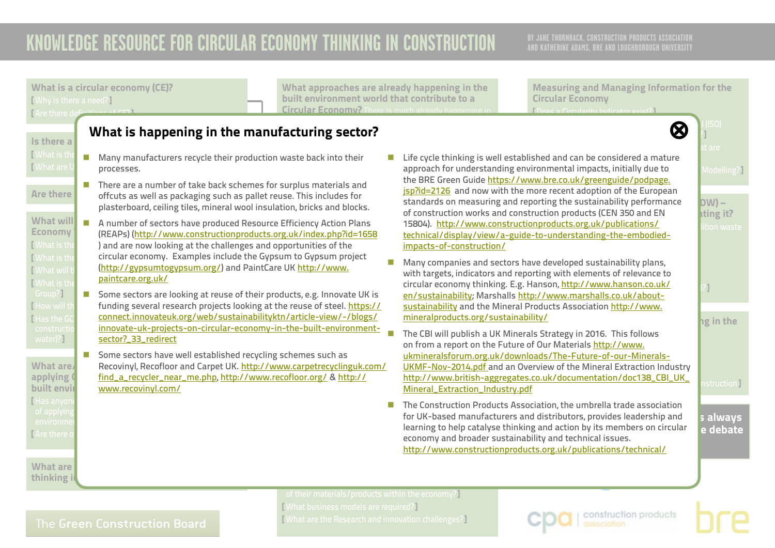### **AND KATHERINE ADAMS, BRE AND LOUGHBOROUGH UNIVERSITY**

<span id="page-16-0"></span>**The Construction Products Association, the umbrella trade association** for UK-based manufacturers and distributors, provides leadership and **s** always learning to help catalyse thinking and action by its members on circular **explorer** extending to help at extending economy and proader sustainability and tecnnical issues.<br><http://www.constructionproducts.org.uk/publications/technical/> What is a circular economy (CE)? [ Why is there a need?] [ Are there definition What are **comight be the business of the business** of that are with a Recoving are an are the controlled a applying Compart of thing the construction applying Comparison and the construction and the construction and t built envir [ Has anyon  $\Box$  Are there constructio**n and resource in the projects-on-circular-economy-in-the-built-environment-E** The Built environment **of the CBI will publish a UK Minerals Strategy in 2016. This follows** on from a report on the Future of Our Materials <u>[http://www.](http://www.ukmineralsforum.org.uk/downloads/The-Future-of-our-Minerals-UKMF-Nov-2014.pdf)</u> schemes such as <u>ukmineralsforum.org.uk/downloads/The-Future-of-our-Minerals-</u> [Mineral\\_Extraction\\_Industry.pdf](http://www.british-aggregates.co.uk/documentation/doc138_CBI_UK_Mineral_Extraction_Industry.pdf) economy and broader sustainability and technical issues. [ What can Manufacturers do to facilitate the ongoing flow Is there a<br>I What is the [ What is the  $\blacksquare$  Many manufacturers recycle their production waste back into their  $\blacksquare$  Life cycle thin [What are U<sub>N</sub> processes. What are thinking i Measuring and Managing Information for the Circular Economy [ Does a Circularity Indicator exist?] [ Does a formal British, European or international (ISO) standard exist relating to the circular economy?]  $\frac{1}{2}$  at are there exists in construction that are that are that are that are that are that are that are that  $\frac{1}{2}$  $\blacksquare$  Life cycle thinking is well established and can be considered a mature approach for understanding environmental impacts, initially due to **the contract of the contract** Modelling?] Are there offcuts as well as packaging such as pallet reuse. This includes for **SEPRICEZIZO** and not What approaches are already happening in the built environment world that contribute to a Circular Economy? There is much already har circular economy thinking. The following applies to the UK. What is happening in the manufacturing sector? [⊗](#page-0-0) There are a number of take back schemes for surplus materials and  $\blacksquare$ plasterboard, ceiling tiles, mineral wool insulation, bricks and blocks. What will **the Green Construction wo**<br>What will **the Green Construction wo** and material and material and the Green Construction wor Economy (REAPs) (<http://www.constructionproducts.org.uk/index.php?id=1658> technical/display/view construction and demolition and demolition and demolition Board (What is the Green Construction Board (GCB) and are now looking at the challenges and opportunities of the  $\frac{1}{2}$ There is the circular economy. Examples include the Gypsum to Gypsum project n Companies and sectors have developed sustainability plans, standards on measuring and reporting the sustainability performance **DW)** – of construction works and construction products (CEN 350 and EN  $\qquad \qquad$  ating it? 15804). [http://www.constructionproducts.org.uk/publications/](http://www.constructionproducts.org.uk/publications/technical/display/view/a-guide-to-understanding-the-embodied-impacts-of-constructio/) http://www.constructionproducts.org.uk/publications/ <u>technical/display/view/a-guide-to-understanding-the-embodied-</u> with targets, indicators and reporting with elements of relevance to circular economy thinking. E.g. Hanson, <u>[http://www.hanson.co.uk/](http://www.hanson.co.uk/en/sustainability)</u> [12] [What will the Guid C<http://gypsumtogypsum.org/>) and PaintCare UK [http://www.](http://www.paintcare.org.uk/) **TWhat is the SCOB** Group?] [ How will th**t com** funding several research projects looking at the reuse of steel. <u>https://</u> [Has the GC | [connect.innovateuk.org/web/sustainabilityktn/article-view/-/blogs/](https://connect.innovateuk.org/web/sustainabilityktn/article-view/-/blogs/innovate-uk-projects-on-ci) water)?]  $he$  in the <u>OKMP-NOV-2014.pdf</u> and an Overview of the Mineral Extraction mudstry<br><u>[http://www.british-aggregates.co.uk/documentation/doc138\\_CBI\\_UK\\_](http://www.british-aggregates.co.uk/documentation/doc138_CBI_UK_Mineral_Extraction_Industry.pdf)</u> nstruction l ■ Some sectors are looking at reuse of their products, e.g. Innovate UK is and sectors are looking at reuse of ste<br>funding several research projects looking at the reuse of steel. https:// austainabilit [paintcare.org.uk/](http://www.paintcare.org.uk/) [sector?\\_33\\_redirect](https://connect.innovateuk.org/web/sustainabilityktn/article-view/-/blogs/innovate-uk-projects-on-ci) ■ Some sectors have well established recycling schemes such as [www.recovinyl.com/](http://www.recovinyl.com/) the BRE Green Guide [https://www.bre.co.uk/greenguide/podpage.](https://www.bre.co.uk/greenguide/podpage.jsp?id=2126) [jsp?id=2126](https://www.bre.co.uk/greenguide/podpage.jsp?id=2126) and now with the more recent adoption of the European [impacts-of-construction/](http://www.constructionproducts.org.uk/publications/technical/display/view/a-guide-to-understanding-the-embodied-impacts-of-constructio/) en/sustainability; Marshalls [http://www.marshalls.co.uk/about](http://www.marshalls.co.uk/about-sustainability)[sustainability](http://www.marshalls.co.uk/about-sustainability) and the Mineral Products Association [http://www.](http://www.mineralproducts.org/sustainability/) [mineralproducts.org/sustainability/](http://www.mineralproducts.org/sustainability/) [UKMF-Nov-2014.pdf](http://www.ukmineralsforum.org.uk/downloads/The-Future-of-our-Minerals-UKMF-Nov-2014.pdf) and an Overview of the Mineral Extraction Industry

> of their materials/products within the economy?] [ What business models are required?] [ What are the Research and innovation challenges?]

construction products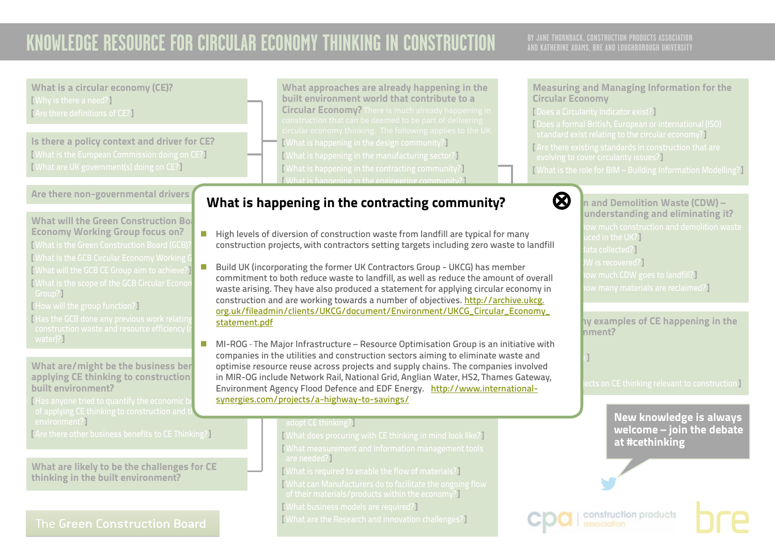## **AND KATHERINE ADAMS, BRE AND LOUGHBOROUGH UNIVERSITY**

What is a circular economy (CE)? [ Why is there a need?] [ Are there definitions of CE?]

Is there a policy context and driver for CE? [ What is the European Commission doing on CE?] [ What are UK government(s) doing on CE?]

Are there non-governmental drivers

What will the Green Construction  $Bo<sub>2</sub>$ Economy Working Group focus on? [ What is the Green Construction Board (GCB)?] [ What is the GCB Circular Economy Working G<br>[ What will the GCB GE Group aim to a this use I [ What will the GCB CE Group aim to achieve?] [ What is the scope of the GCB Circular Econo Group?]

[ How will the group function?]

[Has the GCB done any previous work relatir water)?]

What are/might be the business ben applying CE thinking to construction built environment?

[Has anyone tried to quantify the economic b environment?1

[ Are there other business benefits to CE Thinking?]

What are likely to be the challenges for CE thinking in the built environment?

### The Green Construction Board

What approaches are already happening in the built environment world that contribute to a Circular Economy? There is much already happening in [ What is happening in the design community?] [ What is happening in the manufacturing sector?] [ What is happening in the contracting community?] [ What is happening in the engineering community?]

#### <span id="page-17-0"></span>[ What is happening during the refurbishment and end of What is happening in the contracting community?  $\quad \quad \bigotimes$

- $\blacksquare$  High levels of diversion of construction waste from landfill are typical for many construction and demolition waste from landfill?] construction projects, with contractors setting targets including zero waste to landfill  $\mathcal{L}$  are there are there are the circular examples of circular examples of circular examples of circular examples of  $\mathcal{L}$
- Build UK (incorporating the former UK Contractors Group UKCG) has member **CIRCULAR ECONOMY** construction and are working towards a number of objectives. [http://archive.ukcg.](http://archive.ukcg.org.uk/fileadmin/clients/UKCG/document/Environment/UKCG_Circular_Economy_statement.pdf) commitment to both reduce waste to landfill, as well as reduce the amount of overall waste arising. They have also produced a statement for applying circular economy in [org.uk/fileadmin/clients/UKCG/document/Environment/UKCG\\_Circular\\_Economy\\_](http://archive.ukcg.org.uk/fileadmin/clients/UKCG/document/Environment/UKCG_Circular_Economy_statement.pdf) [statement.pdf](http://archive.ukcg.org.uk/fileadmin/clients/UKCG/document/Environment/UKCG_Circular_Economy_statement.pdf)
- thinking in the built environment sector? This is  $\blacksquare$  MI-ROG - The Major Infrastructure – Resource Optimisation Group is an initiative with companies in the utilities and construction sectors aiming to eliminate waste and optimise resource reuse across projects and supply chains. The companies involved optimise resource reuse across projects and supply chains. The companies invoived<br>in MIR-OG include Network Rail, National Grid, Anglian Water, HS2, Thames Gateway, Environment Agency Flood Defence and EDF Energy. <u>http://www.international-</u> <u>[synergies.com/projects/a-highway-to-savings/](http://www.international-synergies.com/projects/a-highway-to-savings/)</u>

#### adopt CE thinking?]

[ What does procuring with CE thinking in mind look like?] [ What measurement and information management tools are needed?]

[ What is required to facilitate the design community to

[ What is required to enable the flow of materials?]

[ What can Manufacturers do to facilitate the ongoing flow

of their materials/products within the economy?]

[ What business models are required?]

[ What are the Research and innovation challenges?]

### Measuring and Managing Information for the Circular Economy

[ Does a Circularity Indicator exist?] [ Does a formal British, European or international (ISO) standard exist relating to the circular economy?] [ Are there existing standards in construction that are evolving to cover circularity issues?]

[ What is the role for BIM – Building Information Modelling?]



 $\bigotimes$   $\Big|$ n and Demolition Waste (CDW) – understanding and eliminating it? ced in the UK?] ata collected?<sup>]</sup> N is recovered?] w much CDW goes to landfill? $\overline{\phantom{a} \phantom{a}}$  $\,$ ow many materials are reclaimed? $\,$ 

> hy examples of CE happening in the **built environment?**

ects on CE thinking relevant to construction **]** 

### New knowledge is always welcome – join the debate at #cethinking



 $\mathbf{I}_{\mathrm{T}}$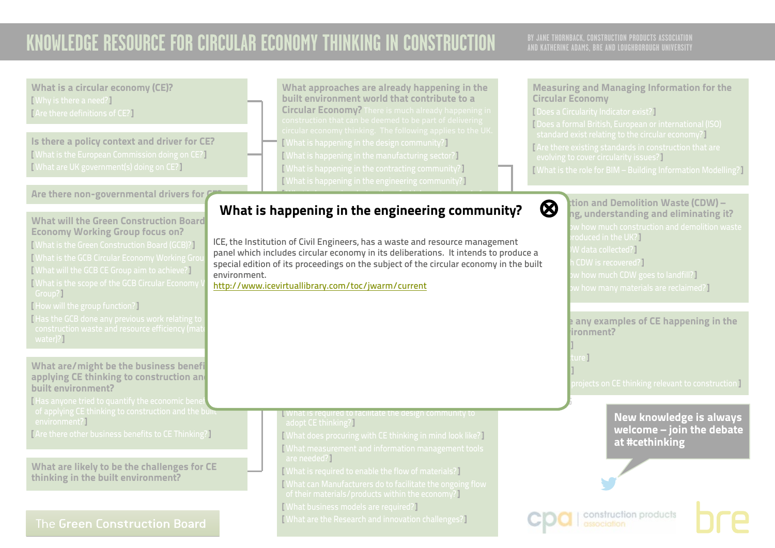## **AND KATHERINE ADAMS, BRE AND LOUGHBOROUGH UNIVERSITY**

<span id="page-18-0"></span>What is a circular economy (CE)? What approaches are already happening in the Measuring and Managing Information for the built environment world that contribute to a [ Why is there a need?] Circular Economy Circular Economy? There is much already happening in [ Does a Circularity Indicator exist?] [ Are there definitions of CE?] [ Does a formal British, European or international (ISO) standard exist relating to the circular economy?] Is there a policy context and driver for CE? [ What is happening in the design community?] [ Are there existing standards in construction that are [ What is the European Commission doing on CE?] [ What is happening in the manufacturing sector?] evolving to cover circularity issues?] [ What are UK government(s) doing on CE?] [ What is happening in the contracting community?] [ What is the role for BIM – Building Information Modelling?] [ What is happening in the engineering community?] Are there non-governmental drivers for  $\ell$  $\mathcal{M}(\mathcal{M})$  is happening during the refugee of  $\mathcal{M}(\mathcal{M})$  $\bigotimes$  tion and Demolition Waste (CDW) – What is happening in the engineering community?  $~$ life stages?] ng, understanding and eliminating it? What will the Green Construction Board Economy Working Group focus on? roduced in the UK?] ICE, the Institution of Civil Engineers, has a waste and resource management [ What is the Green Construction Board (GCB)?] W data collected?] panel which includes circular economy in its deliberations. It intends to produce a [ What is the GCB Circular Economy Working Group CDW is recovered?] special edition of its proceedings on the subject of the circular economy in the built [ What will the GCB CE Group aim to achieve?]  $\bm v$  how much CDW goes to landfill?  $\bm l$ environment. [ What is the scope of the GCB Circular Economy **CIRCULAR ECONOMY** <http://www.icevirtuallibrary.com/toc/jwarm/current> $w$  how many materials are reclaimed?] Group?] [ How will the group function?] [ Has the GCB done any previous work relating to **Are there any examples of CE happening in the**  $b$ ironment? water)?] [ Buildings ]  $\text{I}$  include  $\mathbb{I}$ What are/might be the business benefi [ Materials ] applying CE thinking to construction and  $\overline{\rm{projects}}$  on CE thinking relevant to construction  $\overline{\rm{I}}$ built environment? [Has anyone tried to quantify the economic bene **V.2 APRIL 2016**  $\frac{1}{\sqrt{2}}$  of applying CE thinking to construction and the built **N** What is required to facilitate the design community to New knowledge is always environment?] adopt CE thinking?] welcome – join the debate [ Are there other business benefits to CE Thinking?] [ What does procuring with CE thinking in mind look like?] at #cethinking [ What measurement and information management tools are needed?] What are likely to be the challenges for CE [ What is required to enable the flow of materials?] thinking in the built environment? [ What can Manufacturers do to facilitate the ongoing flow of their materials/products within the economy?] [ What business models are required?] construction products [ What are the Research and innovation challenges?] The Green Construction Board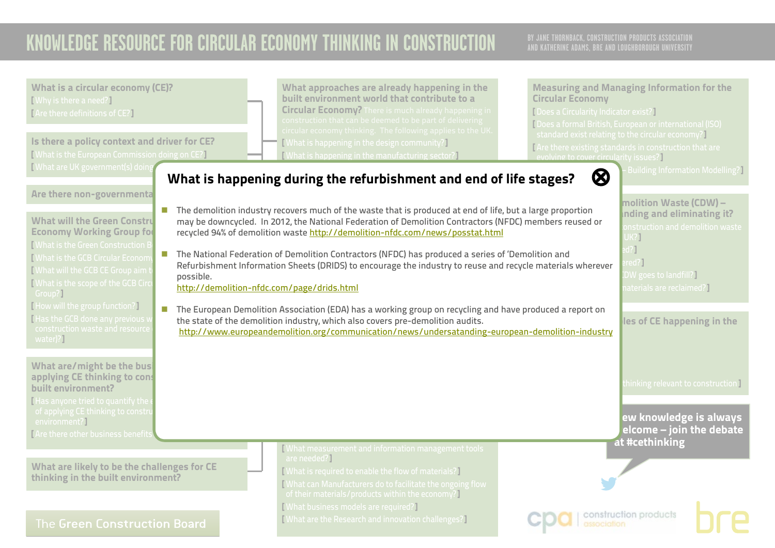<span id="page-19-0"></span>

| What is a circular economy (CE)?<br>[Why is there a need?]<br>[Are there definitions of CE?]<br>Is there a policy context and driver for CE?<br>Vhat is the European Commission doing on CE?<br><b>[What are UK government(s) doing</b>                                                                                                                                                                                                                                                                                                                                                                                | What approaches are already happening in the<br>built environment world that contribute to a<br><b>Circular Economy</b><br><b>Circular Economy?</b> There is much already happening in<br>[ Does a Circularity Indicator exist?]<br>construction that can be deemed to be part of delivering<br>circular economy thinking. The following applies to the UK.<br><b>[What is happening in the design community?]</b><br>[What is happening in the manufacturing sector?]<br>evolving to cover circularity issues?]<br>$\otimes$<br>What is happening during the refurbishment and end of life stages?                                                                                                                                                                                                                                                                        | <b>Measuring and Managing Information for the</b><br>[Does a formal British, European or international (ISO)<br>standard exist relating to the circular economy?<br>[Are there existing standards in construction that are<br><b>Building Information Modelling?</b>                                                                                     |
|------------------------------------------------------------------------------------------------------------------------------------------------------------------------------------------------------------------------------------------------------------------------------------------------------------------------------------------------------------------------------------------------------------------------------------------------------------------------------------------------------------------------------------------------------------------------------------------------------------------------|----------------------------------------------------------------------------------------------------------------------------------------------------------------------------------------------------------------------------------------------------------------------------------------------------------------------------------------------------------------------------------------------------------------------------------------------------------------------------------------------------------------------------------------------------------------------------------------------------------------------------------------------------------------------------------------------------------------------------------------------------------------------------------------------------------------------------------------------------------------------------|----------------------------------------------------------------------------------------------------------------------------------------------------------------------------------------------------------------------------------------------------------------------------------------------------------------------------------------------------------|
| Are there non-governmenta<br><b>What will the Green Constru</b><br><b>Economy Working Group for</b><br><b>I What is the Green Construction B</b><br><b>I</b> What is the GCB Circular Econom<br>I What will the GCB CE Group aim to<br>possible.<br><b>[What is the scope of the GCB Circ</b><br>Group?]<br>[How will the group function?]<br>$\sim$<br>Has the GCB done any previous v<br>construction waste and resource<br>water)?]<br>What are/might be the bus<br>applying CE thinking to cons<br>built environment?<br>I Has anyone tried to quantify the<br>of applying CE thinking to constru<br>environment?] | ■ The demolition industry recovers much of the waste that is produced at end of life, but a large proportion<br>may be downcycled. In 2012, the National Federation of Demolition Contractors (NFDC) members reused or<br>recycled 94% of demolition waste http://demolition-nfdc.com/news/posstat.html<br>The National Federation of Demolition Contractors (NFDC) has produced a series of 'Demolition and<br>Refurbishment Information Sheets (DRIDS) to encourage the industry to reuse and recycle materials wherever<br>http://demolition-nfdc.com/page/drids.html<br>The European Demolition Association (EDA) has a working group on recycling and have produced a report on<br>the state of the demolition industry, which also covers pre-demolition audits.<br>http://www.europeandemolition.org/communication/news/undersatanding-european-demolition-industry | molition Waste (CDW) -<br>Inding and eliminating it?<br><b>nstruction and demolition waste</b><br>JK?]<br>121<br>ed?<br>DW goes to landfill? $\overline{\phantom{a} \overline{\phantom{a}}\phantom{a}}$<br>aterials are reclaimed?]<br>les of CE happening in the<br>thinking relevant to construction $\overline{\mathsf{I}}$<br>ew knowledge is always |
| <b>Are there other business benefits</b><br>What are likely to be the challenges for CE<br>thinking in the built environment?<br>The Green Construction Board                                                                                                                                                                                                                                                                                                                                                                                                                                                          | What measurement and information management tools<br>are needed?]<br>[What is required to enable the flow of materials?]<br>What can Manufacturers do to facilitate the ongoing flow<br>of their materials/products within the economy?<br>[What business models are required?]<br>[What are the Research and innovation challenges?]                                                                                                                                                                                                                                                                                                                                                                                                                                                                                                                                      | elcome – join the debate<br>at #cethinking<br>construction products                                                                                                                                                                                                                                                                                      |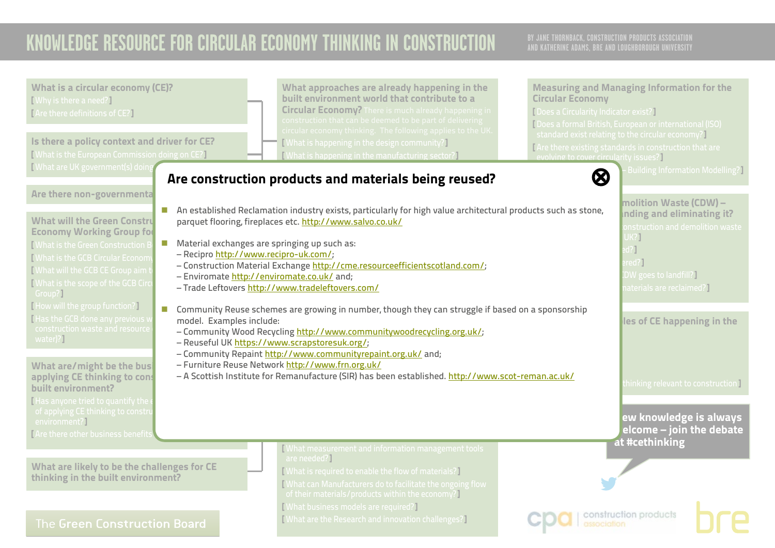<span id="page-20-0"></span>

| What is a circular economy (CE)?<br>[Why is there a need?]<br>[Are there definitions of CE?]<br>Is there a policy context and driver for CE?<br>[What is the European Commission doing on CE?]                                                                                                                                                                                                                                                                                                                                                                                                                                                                                                                        | What approaches are already happening in the<br>built environment world that contribute to a<br><b>Circular Economy?</b> There is much already happening in<br>construction that can be deemed to be part of delivering<br>circular economy thinking. The following applies to the UK.<br>[What is happening in the design community?]<br>What is happening in the manufacturing sector?                                                                                                                                                                                                                                                                                                                                                                                                                                                                                                                                                                                       | <b>Measuring and Managing Information for the</b><br><b>Circular Economy</b><br>[ Does a Circularity Indicator exist?]<br>[Does a formal British, European or international (ISO)<br>standard exist relating to the circular economy?]<br>Are there existing standards in construction that are<br>evolving to cover circularity issues?                               |
|-----------------------------------------------------------------------------------------------------------------------------------------------------------------------------------------------------------------------------------------------------------------------------------------------------------------------------------------------------------------------------------------------------------------------------------------------------------------------------------------------------------------------------------------------------------------------------------------------------------------------------------------------------------------------------------------------------------------------|--------------------------------------------------------------------------------------------------------------------------------------------------------------------------------------------------------------------------------------------------------------------------------------------------------------------------------------------------------------------------------------------------------------------------------------------------------------------------------------------------------------------------------------------------------------------------------------------------------------------------------------------------------------------------------------------------------------------------------------------------------------------------------------------------------------------------------------------------------------------------------------------------------------------------------------------------------------------------------|------------------------------------------------------------------------------------------------------------------------------------------------------------------------------------------------------------------------------------------------------------------------------------------------------------------------------------------------------------------------|
| [What are UK government(s) doing<br>Are there non-governmenta<br><b>What will the Green Constru</b><br><b>Economy Working Group for</b><br>$\mathcal{L}_{\mathcal{A}}$<br><b>Nhat is the Green Construction B</b><br>What is the GCB Circular Econom<br>What will the GCB CE Group aim t<br><b>Nhat is the scope of the GCB Circ</b><br>Group?]<br>[How will the group function?]<br>Has the GCB done any previous v<br>model. Examples include:<br>construction waste and resource<br>water)?]<br>What are/might be the busi<br>applying CE thinking to cons<br>built environment?<br>Has anyone tried to quantify the<br>of applying CE thinking to constru<br>environment?]<br>I Are there other business benefits | Are construction products and materials being reused?<br>An established Reclamation industry exists, particularly for high value architectural products such as stone,<br>parquet flooring, fireplaces etc. http://www.salvo.co.uk/<br>Material exchanges are springing up such as:<br>- Recipro http://www.recipro-uk.com/;<br>- Construction Material Exchange http://cme.resourceefficientscotland.com/;<br>- Enviromate http://enviromate.co.uk/ and;<br>- Trade Leftovers http://www.tradeleftovers.com/<br><b>D</b> Community Reuse schemes are growing in number, though they can struggle if based on a sponsorship<br>- Community Wood Recycling http://www.communitywoodrecycling.org.uk/;<br>- Reuseful UK https://www.scrapstoresuk.org/;<br>- Community Repaint http://www.communityrepaint.org.uk/ and;<br>- Furniture Reuse Network http://www.frn.org.uk/<br>- A Scottish Institute for Remanufacture (SIR) has been established. http://www.scot-reman.ac.uk/ | <b>Building Information Modelling?</b><br>$\bm{\otimes}$<br>molition Waste (CDW) -<br>nding and eliminating it?<br>onstruction and demolition waste<br>UK?]<br>$d$ ?]<br>red? <sup>1</sup><br>DW goes to landfill?]<br>aterials are reclaimed?<br>les of CE happening in the<br>hinking relevant to construction<br>ew knowledge is always<br>elcome – join the debate |
| What are likely to be the challenges for CE<br>thinking in the built environment?<br>The Green Construction Board                                                                                                                                                                                                                                                                                                                                                                                                                                                                                                                                                                                                     | What measurement and information management tools<br>are needed?]<br>[What is required to enable the flow of materials?]<br>What can Manufacturers do to facilitate the ongoing flow<br>of their materials/products within the economy?<br>[What business models are required?]<br>[What are the Research and innovation challenges?]                                                                                                                                                                                                                                                                                                                                                                                                                                                                                                                                                                                                                                          | at #cethinking<br>construction products                                                                                                                                                                                                                                                                                                                                |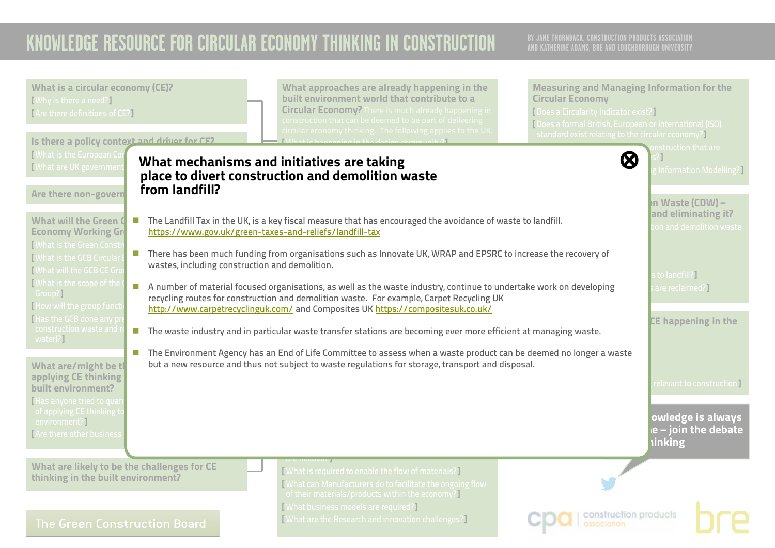<span id="page-21-0"></span>

| What is a circular economy (CE)?<br>[Why is there a need?]<br>[Are there definitions of CE?]<br>Is there a policy context and driver for CE2                                                                                                                                                                                                                                                                                                                                                                                                                                                                                                                                                                        | What approaches are already happening in the<br>built environment world that contribute to a<br><b>Circular Economy?</b> There is much already happening in<br>construction that can be deemed to be part of delivering<br>circular economy thinking. The following applies to the UK                                                                                                                                                                                                                                                                                                                                                                                                                                                                                                                                                                                                                                                                                                                                                                   | <b>Measuring and Managing Information for the</b><br><b>Circular Economy</b><br>[Does a Circularity Indicator exist?]<br>Does a formal British, European or international (ISO)<br>standard exist relating to the circular economy?]                                                             |
|---------------------------------------------------------------------------------------------------------------------------------------------------------------------------------------------------------------------------------------------------------------------------------------------------------------------------------------------------------------------------------------------------------------------------------------------------------------------------------------------------------------------------------------------------------------------------------------------------------------------------------------------------------------------------------------------------------------------|---------------------------------------------------------------------------------------------------------------------------------------------------------------------------------------------------------------------------------------------------------------------------------------------------------------------------------------------------------------------------------------------------------------------------------------------------------------------------------------------------------------------------------------------------------------------------------------------------------------------------------------------------------------------------------------------------------------------------------------------------------------------------------------------------------------------------------------------------------------------------------------------------------------------------------------------------------------------------------------------------------------------------------------------------------|--------------------------------------------------------------------------------------------------------------------------------------------------------------------------------------------------------------------------------------------------------------------------------------------------|
| Mhat is the European Cor<br>Mhat are UK governmen<br>from landfill?<br>Are there non-govern<br>What will the Green O<br>$\mathcal{C}^{\mathcal{A}}$<br><b>Economy Working Gr</b><br><b>I What is the Green Constr</b><br><b>Nhat is the GCB Circular</b><br>wastes, including construction and demolition.<br><b>I</b> What will the GCB CE Gro<br><b>I</b> What is the scope of the<br>$\mathcal{L}_{\mathcal{A}}$<br>Group?]<br>How will the group functi<br>Has the GCB done any pi<br>construction waste and<br>water)?]<br>What are/might be tl<br>applying CE thinking<br>built environment?<br>I Has anyone tried to quan<br>of applying CE thinking to<br>environment?]<br><b>TAre there other business</b> | What mechanisms and initiatives are taking<br>place to divert construction and demolition waste<br>The Landfill Tax in the UK, is a key fiscal measure that has encouraged the avoidance of waste to landfill.<br>https://www.gov.uk/green-taxes-and-reliefs/landfill-tax<br>There has been much funding from organisations such as Innovate UK, WRAP and EPSRC to increase the recovery of<br>A number of material focused organisations, as well as the waste industry, continue to undertake work on developing<br>recycling routes for construction and demolition waste. For example, Carpet Recycling UK<br>http://www.carpetrecyclinguk.com/ and Composites UK https://compositesuk.co.uk/<br>The waste industry and in particular waste transfer stations are becoming ever more efficient at managing waste.<br><b>The Environment Agency has an End of Life Committee to assess when a waste product can be deemed no longer a waste</b><br>but a new resource and thus not subject to waste regulations for storage, transport and disposal. | onstruction that are<br>$\bm{\varnothing}$<br>Information Modelling?<br>In Waste (CDW) -<br>and eliminating it?<br>on and demolition waste<br>to landfill?]<br>are reclaimed?]<br>CE happening in the<br>relevant to construction I<br>owledge is always<br>e – join the debate<br><b>inking</b> |
| What are likely to be the challenges for CE<br>thinking in the built environment?<br>The Green Construction Board                                                                                                                                                                                                                                                                                                                                                                                                                                                                                                                                                                                                   | [What is required to enable the flow of materials?]<br>[What can Manufacturers do to facilitate the ongoing flow<br>of their materials/products within the economy?<br>[What business models are required?]<br>[What are the Research and innovation challenges?]                                                                                                                                                                                                                                                                                                                                                                                                                                                                                                                                                                                                                                                                                                                                                                                       | construction products<br>association                                                                                                                                                                                                                                                             |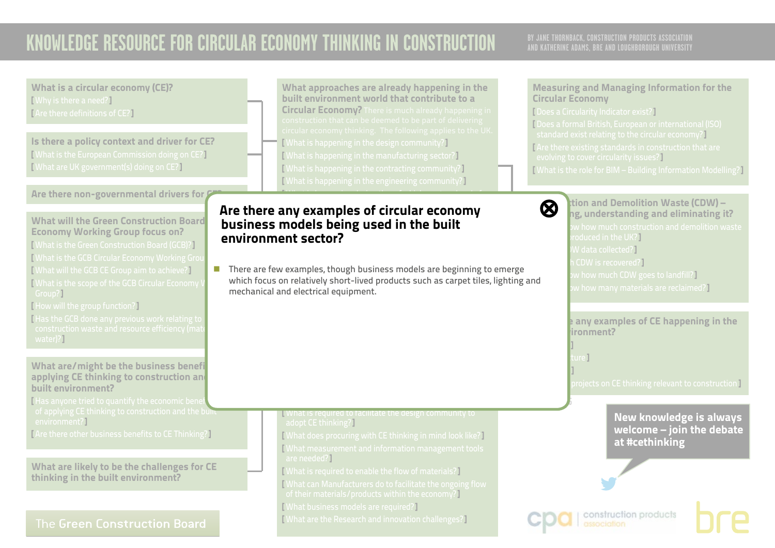| What is a circular economy (CE)?<br>[Why is there a need?]<br>[Are there definitions of CE?]<br>Is there a policy context and driver for CE?<br>[What is the European Commission doing on CE?]<br>I What are UK government(s) doing on CE?                                                                                                                                                                                                                                                            | What approaches are already happening in the<br>built environment world that contribute to a<br><b>Circular Economy?</b> There is much already happening in<br>construction that can be deemed to be part of delivering<br>circular economy thinking. The following applies to the UK.<br>[What is happening in the design community?]<br>[What is happening in the manufacturing sector?]<br>[What is happening in the contracting community?]<br>[What is happening in the engineering community?] | <b>Measuring and Managing Information for the</b><br><b>Circular Economy</b><br>[ Does a Circularity Indicator exist?]<br>[Does a formal British, European or international (ISO)<br>standard exist relating to the circular economy?<br>[Are there existing standards in construction that are<br>evolving to cover circularity issues?]<br>[What is the role for BIM - Building Information Modelling?] |
|-------------------------------------------------------------------------------------------------------------------------------------------------------------------------------------------------------------------------------------------------------------------------------------------------------------------------------------------------------------------------------------------------------------------------------------------------------------------------------------------------------|------------------------------------------------------------------------------------------------------------------------------------------------------------------------------------------------------------------------------------------------------------------------------------------------------------------------------------------------------------------------------------------------------------------------------------------------------------------------------------------------------|-----------------------------------------------------------------------------------------------------------------------------------------------------------------------------------------------------------------------------------------------------------------------------------------------------------------------------------------------------------------------------------------------------------|
| Are there non-governmental drivers for<br><b>What will the Green Construction Board</b><br><b>Economy Working Group focus on?</b><br>[What is the Green Construction Board (GCB)?]<br>[What is the GCB Circular Economy Working Grou<br>[What will the GCB CE Group aim to achieve?]<br>[What is the scope of the GCB Circular Economy \<br>Group?]<br>[How will the group function?]<br>Has the GCB done any previous work relating to<br>construction waste and resource efficiency (mat<br>water)? | Are there any examples of circular economy<br>business models being used in the built<br>environment sector?<br>There are few examples, though business models are beginning to emerge<br>which focus on relatively short-lived products such as carpet tiles, lighting and<br>mechanical and electrical equipment.                                                                                                                                                                                  | tion and Demolition Waste (CDW) –<br>$\bm{\otimes}$<br>ng, understanding and eliminating it?<br>w how much construction and demolition waste<br>oduced in the UK?]<br>W data collected?]<br><b>CDW</b> is recovered?<br>w how much CDW goes to landfill?<br>w how many materials are reclaimed?]<br>any examples of CE happening in the<br>ironment?                                                      |
| What are/might be the business benefi<br>applying CE thinking to construction and<br>built environment?<br>Has anyone tried to quantify the economic benet                                                                                                                                                                                                                                                                                                                                            |                                                                                                                                                                                                                                                                                                                                                                                                                                                                                                      | $\mathop{\sf{ure}}\nolimits\overline{\mathbb{I}}$<br>projects on CE thinking relevant to construction 1                                                                                                                                                                                                                                                                                                   |
| of applying CE thinking to construction and the bully<br>environment?]<br>[Are there other business benefits to CE Thinking?]                                                                                                                                                                                                                                                                                                                                                                         | What is required to facilitate the design community to<br>adopt CE thinking?]<br>[What does procuring with CE thinking in mind look like?]<br>[What measurement and information management tools                                                                                                                                                                                                                                                                                                     | New knowledge is always<br>welcome - join the debate<br>at #cethinking                                                                                                                                                                                                                                                                                                                                    |
| What are likely to be the challenges for CE<br>thinking in the built environment?<br>The Green Construction Board                                                                                                                                                                                                                                                                                                                                                                                     | are needed?]<br>[What is required to enable the flow of materials?]<br>What can Manufacturers do to facilitate the ongoing flow<br>of their materials/products within the economy?]<br>[What business models are required?]<br>[What are the Research and innovation challenges?]                                                                                                                                                                                                                    | construction products<br>association                                                                                                                                                                                                                                                                                                                                                                      |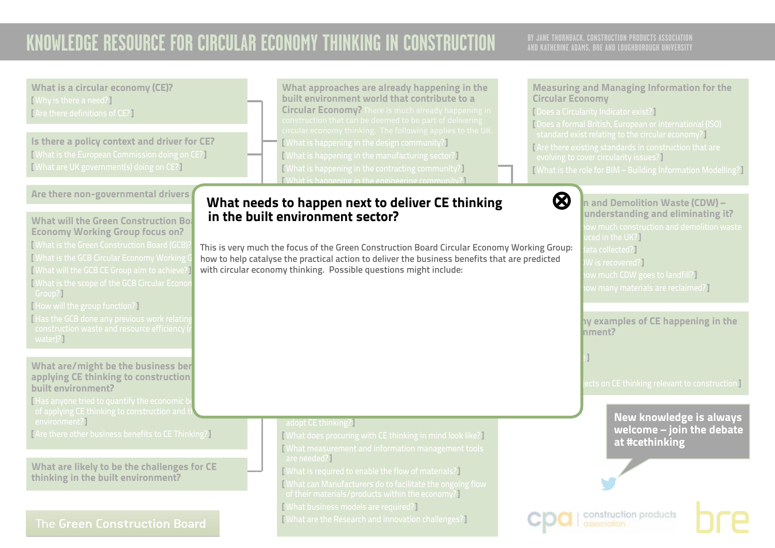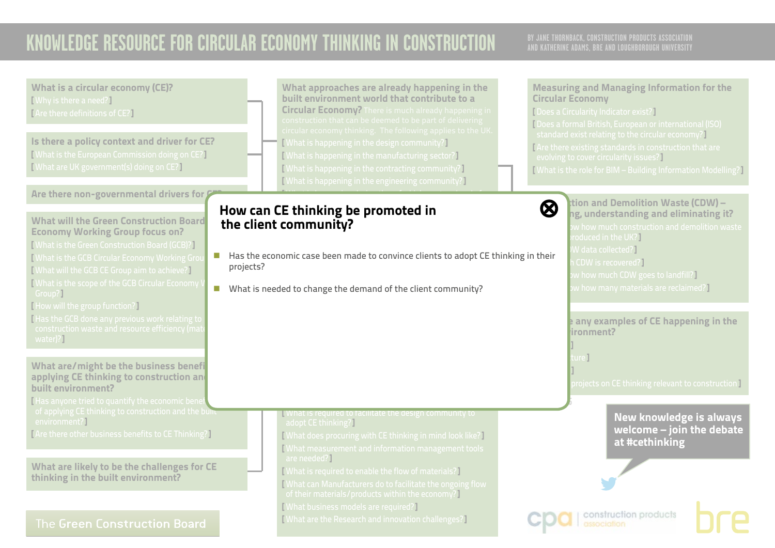## **AND KATHERINE ADAMS, BRE AND LOUGHBOROUGH UNIVERSITY**

<span id="page-24-0"></span>What is a circular economy (CE)? What approaches are already happening in the Measuring and Managing Information for the built environment world that contribute to a [ Why is there a need?] Circular Economy Circular Economy? There is much already happening in [ Does a Circularity Indicator exist?] [ Are there definitions of CE?] [ Does a formal British, European or international (ISO) standard exist relating to the circular economy?] Is there a policy context and driver for CE? [ What is happening in the design community?] [Are there existing standards in construction that are [ What is the European Commission doing on CE?] [ What is happening in the manufacturing sector?] evolving to cover circularity issues?] [ What are UK government(s) doing on CE?] [ What is happening in the contracting community?] [ What is the role for BIM – Building Information Modelling?] [ What is happening in the engineering community?] Are there non-governmental drivers for  $\mathcal G$  $\mathcal{M}(\mathcal{M})$  is happening during the refugee of  $\mathcal{M}(\mathcal{M})$  $\bigotimes$   $\bigcup_{n=1}^{\infty}$  ition and Demolition Waste (CDW) – How can CE thinking be promoted in [⊗](#page-0-0) life stages?] ng, understanding and eliminating it? What will the Green Construction Board the client community? Economy Working Group focus on? roduced in the UK?] [ What is the Green Construction Board (GCB)?]  $N$  data collected?] ■ Has the economic case been made to convince clients to adopt CE thinking in their [ What is the GCB Circular Economy Working Group CDW is recovered?] projects? [ What will the GCB CE Group aim to achieve?]  $\bm v$  how much CDW goes to landfill?  $\bm l$ [ What is the scope of the GCB Circular Economy  $\bm{{\mathsf{w}}}$  how many materials are reclaimed?  $\bm{\mathsf{v}}$ **I** What is needed to change the demand of the client community? Group?] [ How will the group function?] [ Has the GCB done any previous work relating to **P** any examples of CE happening in the  $binom{m}{k}$ water)?] [ Buildings ] [ Infrastructure ] What are/might be the business benefi [ Materials ] applying CE thinking to construction and  $\overline{\rm{b}$  rojects on CE thinking relevant to construction ] built environment? [Has anyone tried to quantify the economic bene **V.2 APRIL 2016**  $\frac{1}{\sqrt{2}}$  of applying CE thinking to construction and the built **N** What is required to facilitate the design community to New knowledge is always environment?] adopt CE thinking?] welcome – join the debate [ Are there other business benefits to CE Thinking?] [ What does procuring with CE thinking in mind look like?] at #cethinking [ What measurement and information management tools are needed?] What are likely to be the challenges for CE [ What is required to enable the flow of materials?] thinking in the built environment? [ What can Manufacturers do to facilitate the ongoing flow of their materials/products within the economy?] [ What business models are required?] construction products [ What are the Research and innovation challenges?] The Green Construction Board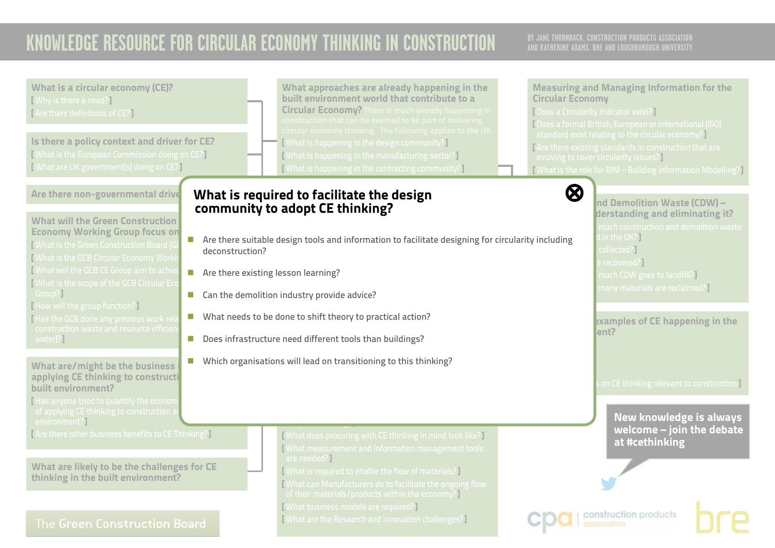<span id="page-25-0"></span>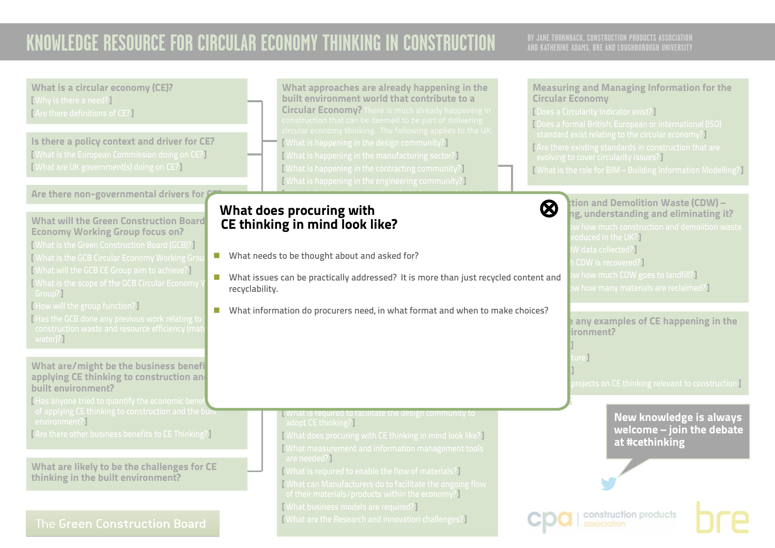## **AND KATHERINE ADAMS, BRE AND LOUGHBOROUGH UNIVERSITY**

What is a circular economy (CE)? [ Why is there a need?] [ Are there definitions of CE?]

Is there a policy context and driver for CE? [ What is the European Commission doing on CE?] [ What are UK government(s) doing on CE?]

### Are there non-governmental drivers for  $\ell$

What will the Green Construction Board Economy Working Group focus on?

- [ What is the Green Construction Board (GCB)?] [ What is the GCB Circular Economy Working Group [ What will the GCB CE Group aim to achieve?] [ What is the scope of the GCB Circular Economy Group?]
- [ How will the group function?]
- [ Has the GCB done any previous work relating to water)?]

What are/might be the business benefi applying CE thinking to construction and built environment?

[Has anyone tried to quantify the economic bene  $\frac{1}{\sqrt{2}}$  of applying CE thinking to construction and the built environment?]

[ Are there other business benefits to CE Thinking?]

What are likely to be the challenges for CE thinking in the built environment?

### The Green Construction Board

What approaches are already happening in the built environment world that contribute to a Circular Economy? There is much already happening in [ What is happening in the design community?] [ What is happening in the manufacturing sector?] [ What is happening in the contracting community?] [ What is happening in the engineering community?]

 $\mathcal{M}(\mathcal{M})$  is happening during the refugee of  $\mathcal{M}(\mathcal{M})$ 

### <span id="page-26-0"></span>What does procuring with [⊗](#page-0-0)  $\sum_{i=1}^{n}$  are construction products and materials being reused. CE thinking in mind look like?

- $\blacksquare$  What needs to be thought about and asked for? models being used in the built environment sector?]
- $\blacksquare$  What issues can be practically addressed? It is more than just recycled content and recyclability.
- recyclability.<br>■ What information do procurers need, in what format and when to make choices?

**N** What is required to facilitate the design community to adopt CE thinking?]

[ What does procuring with CE thinking in mind look like?] [ What measurement and information management tools are needed?]

[ What is required to enable the flow of materials?]

- [ What can Manufacturers do to facilitate the ongoing flow
- of their materials/products within the economy?]
- [ What business models are required?]
- [ What are the Research and innovation challenges?]

#### Measuring and Managing Information for the Circular Economy

[ Does a Circularity Indicator exist?] [ Does a formal British, European or international (ISO) standard exist relating to the circular economy?]

- [ Are there existing standards in construction that are evolving to cover circularity issues?]
- [ What is the role for BIM Building Information Modelling?]



 $\bigotimes$   $\bigcup_{n=1}^{\infty}$  ition and Demolition Waste (CDW) – ng, understanding and eliminating it? roduced in the UK?] W data collected?] CDW is recovered?]  $\bm v$  how much CDW goes to landfill?  $\bm l$  $\bm{w}$  how many materials are reclaimed?  $\bm{P}$ 

> $\mathsf k$  any examples of CE happening in the  $binom{m}{k}$

[ Infrastructure ]

**V.2 APRIL 2016**

[ Buildings ]

[ Materials ]

projects on CE thinking relevant to construction **]** 

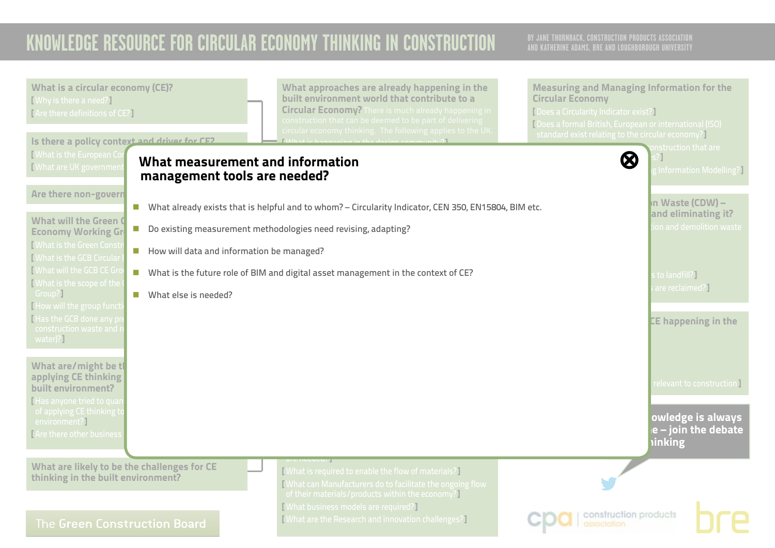<span id="page-27-0"></span>

| What is a circular economy (CE)?<br>[Why is there a need?]<br>[Are there definitions of CE?]                                                                                                                                                                                                                                                                    | What approaches are already happening in the<br>built environment world that contribute to a<br><b>Circular Economy?</b> There is much already happening in<br>construction that can be deemed to be part of delivering<br>circular economy thinking. The following applies to the UK | <b>Measuring and Managing Information for the</b><br><b>Circular Economy</b><br>[ Does a Circularity Indicator exist?]<br>Does a formal British, European or international (ISO)<br>standard exist relating to the circular economy?] |
|-----------------------------------------------------------------------------------------------------------------------------------------------------------------------------------------------------------------------------------------------------------------------------------------------------------------------------------------------------------------|---------------------------------------------------------------------------------------------------------------------------------------------------------------------------------------------------------------------------------------------------------------------------------------|---------------------------------------------------------------------------------------------------------------------------------------------------------------------------------------------------------------------------------------|
| Is there a policy context and driver for CE2<br><b>[What is the European Cor</b><br>Mhat are UK governmen<br>management tools are needed?<br>Are there non-govern<br>$\mathcal{C}$<br>What will the Green O                                                                                                                                                     | What measurement and information<br>What already exists that is helpful and to whom? - Circularity Indicator, CEN 350, EN15804, BIM etc.                                                                                                                                              | nstruction that are<br>$\boldsymbol{\omega}$<br>Information Modelling?<br>n Waste (CDW) –<br>and eliminating it?                                                                                                                      |
| $\mathcal{L}_{\mathcal{A}}$<br><b>Economy Working Gr</b><br><b>[What is the Green Constr</b><br>How will data and information be managed?<br>$\mathcal{L}_{\mathcal{A}}$<br><b>Nhat is the GCB Circular</b><br><b>Nhat will the GCB CE Gro</b><br>$\mathcal{C}_{\mathcal{A}}$<br>[What is the scope of the<br>Group?]<br>What else is needed?<br>$\blacksquare$ | Do existing measurement methodologies need revising, adapting?<br>What is the future role of BIM and digital asset management in the context of CE?                                                                                                                                   | on and demolition waste<br>to landfill?<br>are reclaimed?]                                                                                                                                                                            |
| How will the group functi<br>Has the GCB done any pi<br>construction waste and r<br>water)?<br>What are/might be tl                                                                                                                                                                                                                                             |                                                                                                                                                                                                                                                                                       | <b>CE happening in the</b>                                                                                                                                                                                                            |
| applying CE thinking<br>built environment?<br>Has anyone tried to quar<br>of applying CE thinking to<br>environment?]<br><b>TAre there other business</b>                                                                                                                                                                                                       |                                                                                                                                                                                                                                                                                       | relevant to construction I<br>owledge is always<br>e – join the debate<br><b>inking</b>                                                                                                                                               |
| What are likely to be the challenges for CE<br>thinking in the built environment?<br>The Green Construction Board                                                                                                                                                                                                                                               | [What is required to enable the flow of materials?]<br>What can Manufacturers do to facilitate the ongoing flow<br>of their materials/products within the economy?<br><b>[What business models are required?]</b><br>[What are the Research and innovation challenges?]               | construction products                                                                                                                                                                                                                 |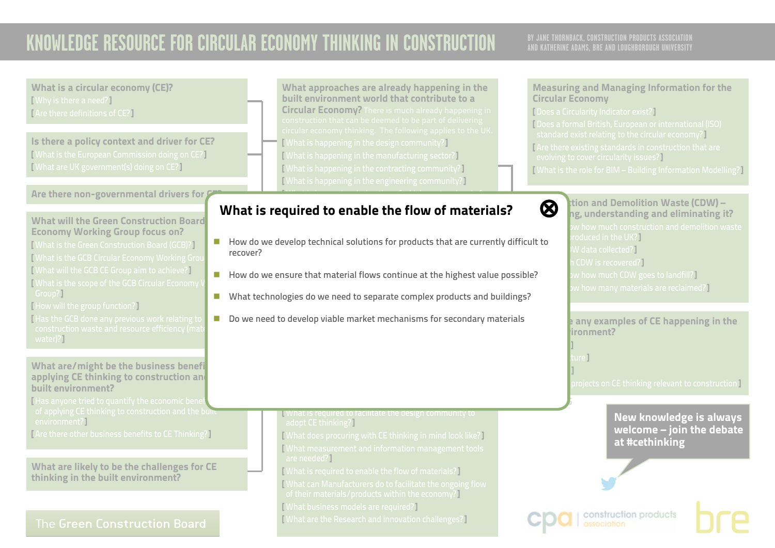## **AND KATHERINE ADAMS, BRE AND LOUGHBOROUGH UNIVERSITY**

What is a circular economy (CE)? [ Why is there a need?] [ Are there definitions of CE?]

Is there a policy context and driver for CE? [ What is the European Commission doing on CE?] [ What are UK government(s) doing on CE?]

### Are there non-governmental drivers for  $\ell$

What will the Green Construction Board Economy Working Group focus on?

[ What is the Green Construction Board (GCB)?] [ What is the GCB Circular Economy Working Group [ What will the GCB CE Group aim to achieve?] [ What is the scope of the GCB Circular Economy ] Group?]

[ How will the group function?]

[ Has the GCB done any previous work relating to water)?]

What are/might be the business benefi applying CE thinking to construction and built environment?

[Has anyone tried to quantify the economic bene of applying CE thinking to construction and the bullt environment?]

[ Are there other business benefits to CE Thinking?]

What are likely to be the challenges for CE thinking in the built environment?

### The Green Construction Board

What approaches are already happening in the built environment world that contribute to a Circular Economy? There is much already happening in [ What is happening in the design community?] [ What is happening in the manufacturing sector?] [ What is happening in the contracting community?] [ What is happening in the engineering community?]

#### <span id="page-28-0"></span>life stages?] What is required to enable the flow of materials?  $\quad \, \otimes$

■ How do we develop technical solutions for products that are currently difficult to recover?

 $\mathcal{M}(\mathcal{M})$  is happening during the refugee of  $\mathcal{M}(\mathcal{M})$ 

- $\blacksquare$  How do we ensure that material flows continue at the highest value possible?
- **n** What technologies do we need to separate complex products and buildings?
- where the new to determine the deliver  $\mathcal{L}_{\mathcal{L}}$  $\blacksquare$  Do we need to develop viable market mechanisms for secondary materials

**N** What is required to facilitate the design community to adopt CE thinking?]

[ What does procuring with CE thinking in mind look like?] [ What measurement and information management tools are needed?]

[ What is required to enable the flow of materials?]

[ What can Manufacturers do to facilitate the ongoing flow of their materials/products within the economy?]

[ What business models are required?]

[ What are the Research and innovation challenges?]

#### Measuring and Managing Information for the Circular Economy

[ Does a Circularity Indicator exist?] [ Does a formal British, European or international (ISO) standard exist relating to the circular economy?] [Are there existing standards in construction that are evolving to cover circularity issues?] [ What is the role for BIM – Building Information Modelling?]

 $\bigotimes$  tion and Demolition Waste (CDW) –  ${\sf hg}$ , understanding and eliminating it? roduced in the UK?] W data collected?] CDW is recovered?]  $\bm v$  how much CDW goes to landfill?  $\bm l$  $\bm{w}$  how many materials are reclaimed?  $\bm{P}$ 

> **Are there any examples of CE happening in the**  $binom{m}{k}$

Ire<sup>T</sup>

**V.2 APRIL 2016**

[ Buildings ]

[ Materials ]

 $\overline{\rm{projects}}$  on CE thinking relevant to construction  $\overline{\rm{I}}$ 

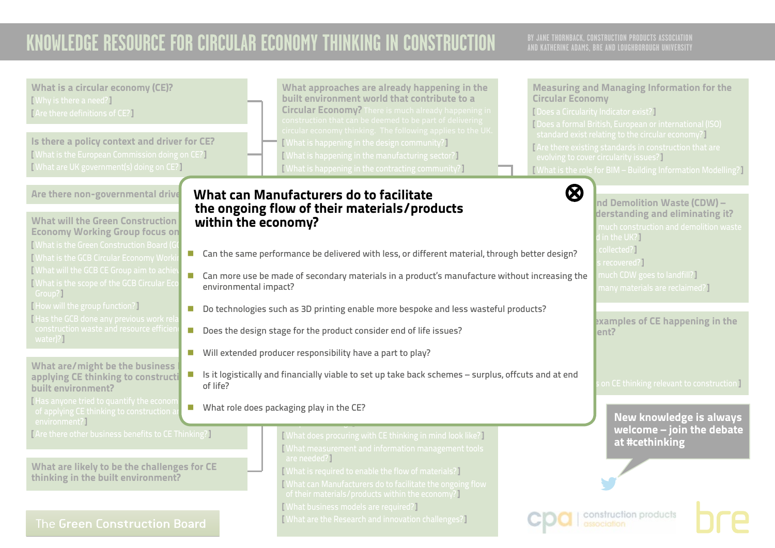<span id="page-29-0"></span>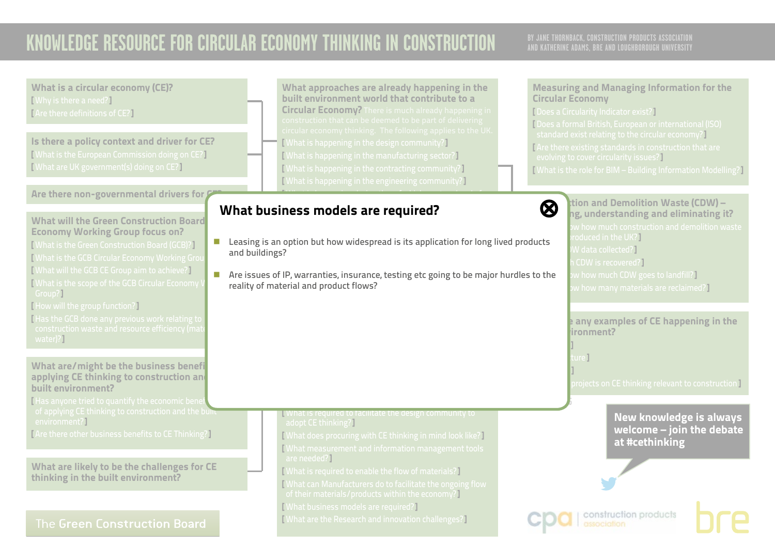## **AND KATHERINE ADAMS, BRE AND LOUGHBOROUGH UNIVERSITY**

What is a circular economy (CE)? [ Why is there a need?] [ Are there definitions of CE?]

Is there a policy context and driver for CE? [ What is the European Commission doing on CE?] [ What are UK government(s) doing on CE?]

### Are there non-governmental drivers for  $\ell$

What will the Green Construction Board Economy Working Group focus on?

[ What is the Green Construction Board (GCB)?] [ What is the GCB Circular Economy Working Group [ What will the GCB CE Group aim to achieve?] [ What is the scope of the GCB Circular Economy Group?]

[ How will the group function?]

[ Has the GCB done any previous work relating to water)?]

What are/might be the business benefi applying CE thinking to construction and built environment?

[Has anyone tried to quantify the economic bene  $\frac{1}{\sqrt{2}}$  of applying CE thinking to construction and the built environment?]

[ Are there other business benefits to CE Thinking?]

What are likely to be the challenges for CE thinking in the built environment?

### The Green Construction Board

What approaches are already happening in the built environment world that contribute to a Circular Economy? There is much already happening in [ What is happening in the design community?] [ What is happening in the manufacturing sector?] [ What is happening in the contracting community?] [ What is happening in the engineering community?]

 $\mathcal{M}(\mathcal{M})$  is happening during the refugee of  $\mathcal{M}(\mathcal{M})$ 

#### <span id="page-30-0"></span>life stages [ Are construction products and materials being reused?] What business models are required? [⊗](#page-0-0)

- **E** Leasing is an option but how widespread is its application for long lived products  $\mathbb{R}^2$ and buildings?
- **CONSTRUCTED**  $\blacksquare$  Are issues of IP, warranties, insurance, testing etc going to be major hurdles to the reality of material and product flows?

**N** What is required to facilitate the design community to adopt CE thinking?]

[ What does procuring with CE thinking in mind look like?] [ What measurement and information management tools are needed?]

[ What is required to enable the flow of materials?]

[ What can Manufacturers do to facilitate the ongoing flow

of their materials/products within the economy?]

[ What business models are required?]

[ What are the Research and innovation challenges?]

#### Measuring and Managing Information for the Circular Economy

[ Does a Circularity Indicator exist?] [ Does a formal British, European or international (ISO) standard exist relating to the circular economy?] [Are there existing standards in construction that are evolving to cover circularity issues?]

[ What is the role for BIM – Building Information Modelling?]

 $\bigotimes$   $\bigcup_{n=1}^{\infty}$  ition and Demolition Waste (CDW) – ng, understanding and eliminating it? roduced in the UK?] W data collected?] CDW is recovered?]  $\bm v$  how much CDW goes to landfill?  $\bm l$  $\bm v$  how many materials are reclaimed?]

> **P** any examples of CE happening in the  $binom{m}{k}$

[ Infrastructure ]

**V.2 APRIL 2016**

[ Buildings ]

[ Materials ]

 $\overline{\rm{b}$  rojects on CE thinking relevant to construction ]

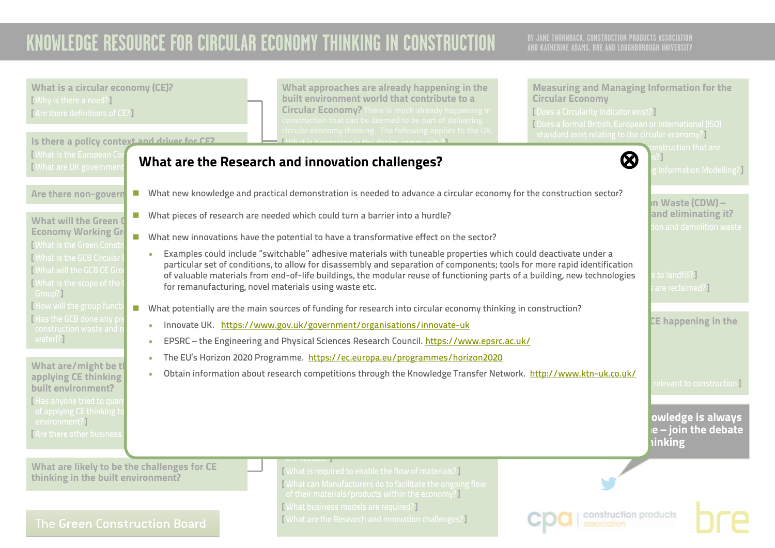<span id="page-31-0"></span>

| What is a circular economy (CE)?<br>[Why is there a need?]<br>[Are there definitions of CE?]                                                                                                                                                                                                                                                                                                                                                                                                                                                                                                                                                                                                       | What approaches are already happening in the<br>built environment world that contribute to a<br><b>Circular Economy?</b> There is much already happening in<br>construction that can be deemed to be part of delivering                                                                           | <b>Measuring and Managing Information for the</b><br><b>Circular Economy</b><br>[ Does a Circularity Indicator exist?]<br>[Does a formal British, European or international (ISO) |                                                                         |
|----------------------------------------------------------------------------------------------------------------------------------------------------------------------------------------------------------------------------------------------------------------------------------------------------------------------------------------------------------------------------------------------------------------------------------------------------------------------------------------------------------------------------------------------------------------------------------------------------------------------------------------------------------------------------------------------------|---------------------------------------------------------------------------------------------------------------------------------------------------------------------------------------------------------------------------------------------------------------------------------------------------|-----------------------------------------------------------------------------------------------------------------------------------------------------------------------------------|-------------------------------------------------------------------------|
| Is there a policy context and driver for CE2<br>Mhat is the European Cor<br>Mhat are UK governmer                                                                                                                                                                                                                                                                                                                                                                                                                                                                                                                                                                                                  | circular economy thinking. The following applies to the UK.<br>What are the Research and innovation challenges?                                                                                                                                                                                   | standard exist relating to the circular economy?]<br>$\boldsymbol{\varnothing}$                                                                                                   | onstruction that are<br><b>Table 11</b> Information Modelling?          |
| Are there non-govern<br>$\mathcal{L}^{\mathcal{L}}$<br><b>What will the Green O</b><br><b>Economy Working Gr</b><br><b>Nhat is the Green Constr</b>                                                                                                                                                                                                                                                                                                                                                                                                                                                                                                                                                | What new knowledge and practical demonstration is needed to advance a circular economy for the construction sector?<br>■ What pieces of research are needed which could turn a barrier into a hurdle?<br>■ What new innovations have the potential to have a transformative effect on the sector? |                                                                                                                                                                                   | In Waste (CDW) –<br>and eliminating it?<br>ion and demolition waste     |
| Examples could include "switchable" adhesive materials with tuneable properties which could deactivate under a<br><b>Nhat is the GCB Circular</b><br>particular set of conditions, to allow for disassembly and separation of components; tools for more rapid identification<br><b>Nhat will the GCB CE Gro</b><br>of valuable materials from end-of-life buildings, the modular reuse of functioning parts of a building, new technologies<br><b>What is the scope of the</b><br>for remanufacturing, novel materials using waste etc.<br>Group?]<br>How will the group funct<br>■ What potentially are the main sources of funding for research into circular economy thinking in construction? |                                                                                                                                                                                                                                                                                                   |                                                                                                                                                                                   | to landfill?]<br>are reclaimed?]                                        |
| <b>Has the GCB done any pr</b><br>Innovate UK. https://www.gov.uk/government/organisations/innovate-uk<br>$\mathbf{r}$<br>construction waste and r<br>water)?]<br>EPSRC - the Engineering and Physical Sciences Research Council. https://www.epsrc.ac.uk/<br>$\mathbf{r}$<br>The EU's Horizon 2020 Programme. https://ec.europa.eu/programmes/horizon2020<br>What are/might be tl                                                                                                                                                                                                                                                                                                                 |                                                                                                                                                                                                                                                                                                   |                                                                                                                                                                                   | CE happening in the                                                     |
| ٠<br>applying CE thinking<br>built environment?<br>I Has anyone tried to quar<br>of applying CE thinking to<br>environment?]<br><b>TAre there other business</b>                                                                                                                                                                                                                                                                                                                                                                                                                                                                                                                                   | Obtain information about research competitions through the Knowledge Transfer Network. http://www.ktn-uk.co.uk/                                                                                                                                                                                   | <b>inking</b>                                                                                                                                                                     | relevant to construction I<br>owledge is always<br>le - join the debate |
| What are likely to be the challenges for CE<br>thinking in the built environment?<br>The Green Construction Board                                                                                                                                                                                                                                                                                                                                                                                                                                                                                                                                                                                  | [What is required to enable the flow of materials?]<br>[What can Manufacturers do to facilitate the ongoing flow<br>of their materials/products within the economy?]<br><b>[What business models are required?]</b><br>[What are the Research and innovation challenges?]                         | construction products                                                                                                                                                             |                                                                         |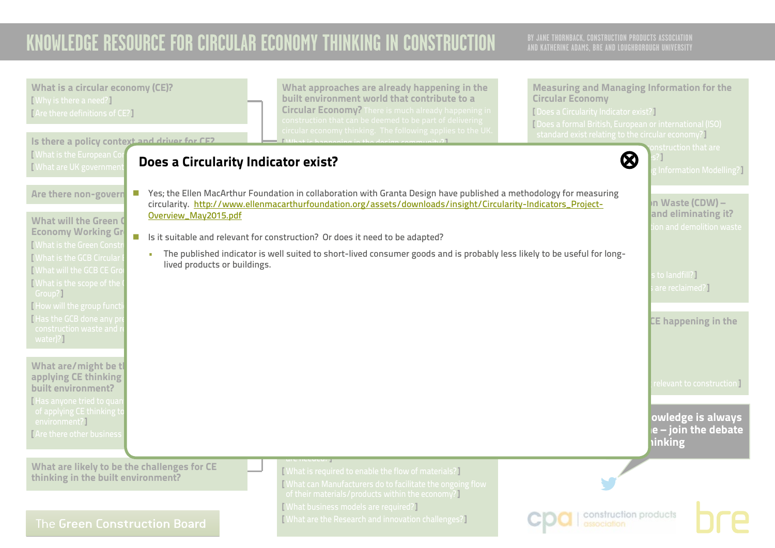<span id="page-32-0"></span>

| <b>What is a circular economy (CE)?</b><br>[Why is there a need?]<br>[Are there definitions of CE?]<br>Is there a policy context and driver for CE2                   | What approaches are already happening in the<br>built environment world that contribute to a<br><b>Circular Economy? There is much already happening in</b><br>construction that can be deemed to be part of delivering<br>circular economy thinking. The following applies to the UK.                                  | <b>Measuring and Managing Information for the</b><br><b>Circular Economy</b><br>[Does a Circularity Indicator exist?]<br>[Does a formal British, European or international (ISO)<br>standard exist relating to the circular economy? |
|-----------------------------------------------------------------------------------------------------------------------------------------------------------------------|-------------------------------------------------------------------------------------------------------------------------------------------------------------------------------------------------------------------------------------------------------------------------------------------------------------------------|--------------------------------------------------------------------------------------------------------------------------------------------------------------------------------------------------------------------------------------|
| <b>[What is the European Co</b><br>Does a Circularity Indicator exist?<br><b>[What are UK governmen</b>                                                               |                                                                                                                                                                                                                                                                                                                         | nstruction that are<br>$\bm{\varnothing}$<br>[Information Modelling?]                                                                                                                                                                |
| Are there non-govern<br>$\mathcal{L}^{\mathcal{L}}$<br>Overview_May2015.pdf<br><b>What will the Green O</b><br><b>Economy Working Gr</b><br>[What is the Green Consti | Yes; the Ellen MacArthur Foundation in collaboration with Granta Design have published a methodology for measuring<br>circularity. http://www.ellenmacarthurfoundation.org/assets/downloads/insight/Circularity-Indicators_Project-<br>In Its it suitable and relevant for construction? Or does it need to be adapted? | In Waste (CDW) –<br>and eliminating it?<br>on and demolition waste                                                                                                                                                                   |
| $\mathbf{r}$<br><b>[What is the GCB Circular</b><br>lived products or buildings.<br><b>I</b> What will the GCB CE Gro<br><b>What is the scope of the</b><br>Group?]   | The published indicator is well suited to short-lived consumer goods and is probably less likely to be useful for long-                                                                                                                                                                                                 | to landfill?]<br>are reclaimed?]                                                                                                                                                                                                     |
| I How will the group funct<br>I Has the GCB done any pr<br>construction waste and r<br>water)?]                                                                       |                                                                                                                                                                                                                                                                                                                         | <b>CE happening in the</b>                                                                                                                                                                                                           |
| What are/might be tl<br>applying CE thinking<br>built environment?<br>I Has anyone tried to quar                                                                      |                                                                                                                                                                                                                                                                                                                         | relevant to construction <mark>]</mark>                                                                                                                                                                                              |
| of applying CE thinking to<br>environment?]<br><b>TAre there other business</b>                                                                                       |                                                                                                                                                                                                                                                                                                                         | owledge is always<br>$e$ – join the debate<br><b>inking</b>                                                                                                                                                                          |
| What are likely to be the challenges for CE<br>thinking in the built environment?                                                                                     | [What is required to enable the flow of materials?]<br>What can Manufacturers do to facilitate the ongoing flow<br>of their materials/products within the economy?<br>[What business models are required?]                                                                                                              |                                                                                                                                                                                                                                      |
| The Green Construction Board                                                                                                                                          | [What are the Research and innovation challenges?]                                                                                                                                                                                                                                                                      | construction products<br>association                                                                                                                                                                                                 |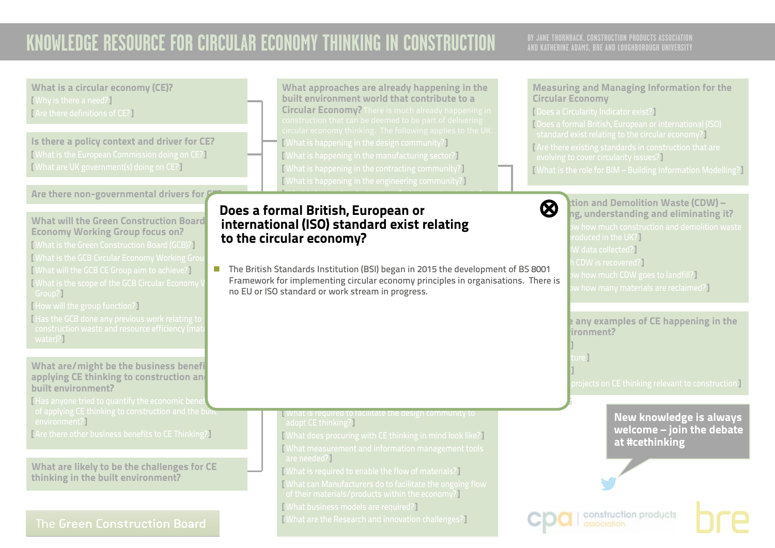## **AND KATHERINE ADAMS, BRE AND LOUGHBOROUGH UNIVERSITY**

What is a circular economy (CE)? What approaches are already happening in the Measuring and Managing Information for the built environment world that contribute to a [ Why is there a need?] Circular Economy Circular Economy? There is much already happening in [ Does a Circularity Indicator exist?] [ Are there definitions of CE?] [ Does a formal British, European or international (ISO) standard exist relating to the circular economy?] Is there a policy context and driver for CE? [ What is happening in the design community?] [ Are there existing standards in construction that are [ What is the European Commission doing on CE?] [ What is happening in the manufacturing sector?] evolving to cover circularity issues?] [ What are UK government(s) doing on CE?] [ What is happening in the contracting community?] [ What is the role for BIM – Building Information Modelling?] [ What is happening in the engineering community?] Are there non-governmental drivers for  $\mathcal G$  $\mathcal{M}(\mathcal{M})$  is happening during the refugee of  $\mathcal{M}(\mathcal{M})$  $\bigotimes$   $\bigcup_{n=1}^{\infty}$  ition and Demolition Waste (CDW) – Does a formal British, European or **[⊗](#page-0-0)** ng, understanding and eliminating it?  $\frac{1}{2}$  are constructed products and materials being reused? What will the Green Construction Board international (ISO) standard exist relating Economy Working Group focus on? roduced in the UK?] to the circular economy? [ What is the Green Construction Board (GCB)?] W data collected?] **I What is the GCB Circular Economy Working Group** CDW is recovered?] n The British Standards Institution (BSI) began in 2015 the development of BS 8001 [ What will the GCB CE Group aim to achieve?]  $\bm v$  how much CDW goes to landfill?  $\bm l$ Framework for implementing circular economy principles in organisations. There is [ What is the scope of the GCB Circular Economy \  $\bm v$  how many materials are reclaimed?] no EU or ISO standard or work stream in progress.<br>*C* Group?] [ How will the group function?] [ Has the GCB done any previous work relating to **P** any examples of CE happening in the  $b$ ironment? water)?] [ Buildings ] [ Infrastructure ] What are/might be the business benefi [ Materials ] applying CE thinking to construction and  $\overline{\rm{b}$  rojects on CE thinking relevant to construction ] built environment? [Has anyone tried to quantify the economic bene **V.2 APRIL 2016**  $\frac{1}{\sqrt{2}}$  of applying CE thinking to construction and the built **N** What is required to facilitate the design community to New knowledge is always environment?] adopt CE thinking?] welcome – join the debate [ Are there other business benefits to CE Thinking?] [ What does procuring with CE thinking in mind look like?] at #cethinking [ What measurement and information management tools are needed?] What are likely to be the challenges for CE [ What is required to enable the flow of materials?] thinking in the built environment? [ What can Manufacturers do to facilitate the ongoing flow of their materials/products within the economy?] [ What business models are required?] construction products [ What are the Research and innovation challenges?] The Green Construction Board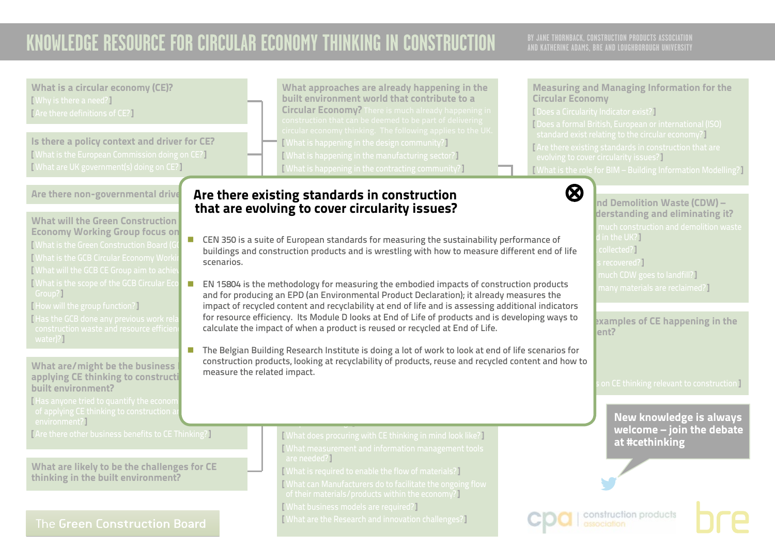## **AND KATHERINE ADAMS, BRE AND LOUGHBOROUGH UNIVERSITY**

What is a circular economy (CE)? **TWhy is there a need?** [ Are there definitions of CE?]

Is there a policy context and driver for CE? [ What is the European Commission doing on CE?] [ What are UK government(s) doing on CE?]

Are there non-governmental drive

What will the Green Construction Economy Working Group focus on? **ECONOMY WORKING CHOOP FOCUS ON** [ What is the GCB Circular Economy Work [ What will the GCB CE Group aim to achi  $\begin{array}{|c|c|c|}\hline \text{I What is the scope of the GCB Circular Eco} & \textcolor{red}{\blacksquare} \hline \end{array}$ Group?]

[ How will the group function?]

 $\overline{\phantom{a}}$  [ Has the GCB done any previous work rel water)?]

What are/might be the business applying CE thinking to construction built environment?

[Has anyone tried to quantify the econon environment?]

[ Are there other business benefits to CE Thinking?]

What are likely to be the challenges for CE thinking in the built environment?

### The Green Construction Board

What approaches are already happening in the built environment world that contribute to a Circular Economy? There is much already happening in [ What is happening in the design community?] [ What is happening in the manufacturing sector?] [ What is happening in the contracting community?]

### <span id="page-34-0"></span>Are there existing standards in construction **[⊗](#page-0-0)** that are evolving to cover circularity issues?  $\overline{a}$  and materials being reused?

- **n** CEN 350 is a suite of European standards for measuring the sustainability performance of buildings and construction products and is wrestling with how to measure different end of life state that the l scenarios.
- calculate the impact of when a product is reused or recycled at End of Life. thinking in the built environment sector  $\mathcal{L}$ **CIRCULAR ECONOMY** and for producing an EPD (an Environmental Product Declaration); it already measures the n EN 15804 is the methodology for measuring the embodied impacts of construction products impact of recycled content and recyclability at end of life and is assessing additional indicators for resource efficiency. Its Module D looks at End of Life of products and is developing ways to
- The Belgian Building Research Institute is doing a lot of work to look at end of life scenarios for ,<br>tellooking at recurlability of products reuse and req benefits that are predicted with circular explicit the conomy that is a sequence of the conomy that is a sequence of the conomy of the conomy of the conomy of the conomy of the conomy of the conomy of the conomy of the con Possible questions might include  $\mathcal{L}$ construction products, looking at recyclability of products, reuse and recycled content and how to measure the related impact.

[ What does procuring with CE thinking in mind look like?] [ What measurement and information management tools are needed?<sup>1</sup>

[ What is required to enable the flow of materials?] [ What can Manufacturers do to facilitate the ongoing flow of their materials/products within the economy?]

[ What business models are required?]

adopt CE thinking?]

[ What are the Research and innovation challenges?]

### Measuring and Managing Information for the Circular Economy

[ Does a Circularity Indicator exist?]

[ Does a formal British, European or international (ISO) standard exist relating to the circular economy?] [ Are there existing standards in construction that are evolving to cover circularity issues?] [ What is the role for BIM – Building Information Modelling?]



 $\blacksquare$ nd Demolition Waste (CDW) – derstanding and eliminating it? in the UK? $\Gamma$ recovered?] much CDW goes to landfill? I many materials are reclaimed? $\P$ 

examples of CE happening in the  $\mathsf{Int2}$ 

on CE thinking relevant to construction ]

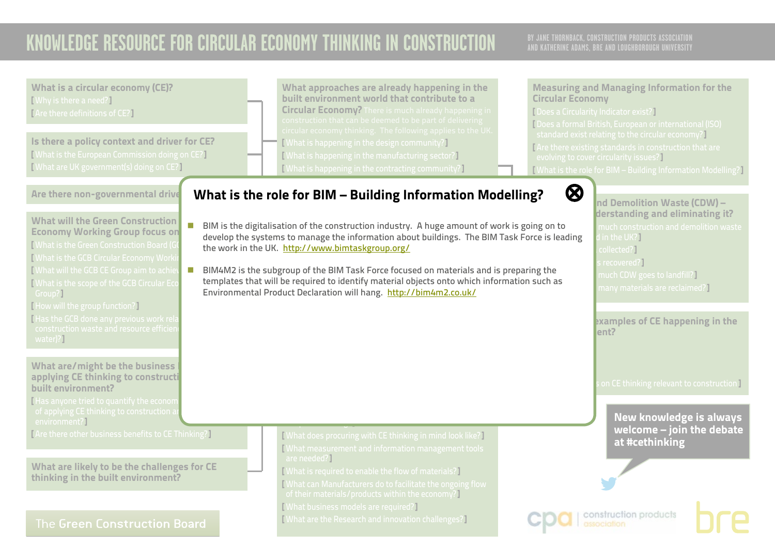<span id="page-35-0"></span>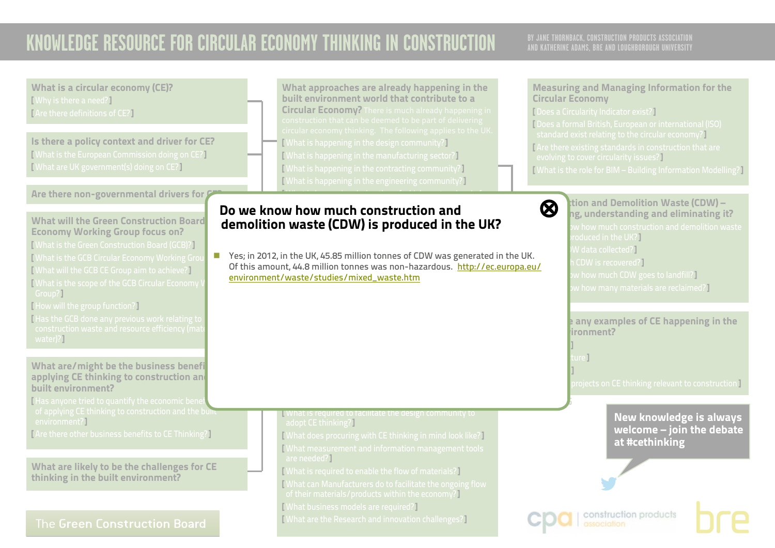<span id="page-36-0"></span>

| What is a circular economy (CE)?<br>[Why is there a need?]<br>[Are there definitions of CE?]<br>Is there a policy context and driver for CE?<br>[What is the European Commission doing on CE?]<br>[What are UK government(s) doing on CE?]                                                                                                                                                                                                                                                                                         |                                           | What approaches are already happening in the<br>built environment world that contribute to a<br><b>Circular Economy?</b> There is much already happening in<br>construction that can be deemed to be part of delivering<br>circular economy thinking. The following applies to the UK.<br>[What is happening in the design community?]<br>[What is happening in the manufacturing sector?]<br>[What is happening in the contracting community?]<br>[What is happening in the engineering community?] |                | <b>Measuring and Managing Information for the</b><br><b>Circular Economy</b><br>[Does a Circularity Indicator exist?]<br>[Does a formal British, European or international (ISO)<br>standard exist relating to the circular economy?]<br>[Are there existing standards in construction that are<br>evolving to cover circularity issues?]<br>[What is the role for BIM - Building Information Modelling?] |  |
|------------------------------------------------------------------------------------------------------------------------------------------------------------------------------------------------------------------------------------------------------------------------------------------------------------------------------------------------------------------------------------------------------------------------------------------------------------------------------------------------------------------------------------|-------------------------------------------|------------------------------------------------------------------------------------------------------------------------------------------------------------------------------------------------------------------------------------------------------------------------------------------------------------------------------------------------------------------------------------------------------------------------------------------------------------------------------------------------------|----------------|-----------------------------------------------------------------------------------------------------------------------------------------------------------------------------------------------------------------------------------------------------------------------------------------------------------------------------------------------------------------------------------------------------------|--|
| Are there non-governmental drivers for<br><b>What will the Green Construction Board</b><br><b>Economy Working Group focus on?</b><br>[What is the Green Construction Board (GCB)?]<br>$\mathcal{C}^{\mathcal{A}}$<br>[What is the GCB Circular Economy Working Gro<br>[What will the GCB CE Group aim to achieve?]<br>What is the scope of the GCB Circular Economy \<br>Group?<br>[How will the group function?]<br>Has the GCB done any previous work relating to<br>construction waste and resource efficiency (mate<br>water)? | environment/waste/studies/mixed_waste.htm | Do we know how much construction and<br>demolition waste (CDW) is produced in the UK?<br>Yes; in 2012, in the UK, 45.85 million tonnes of CDW was generated in the UK.<br>Of this amount, 44.8 million tonnes was non-hazardous. http://ec.europa.eu/                                                                                                                                                                                                                                                | $\bm{\otimes}$ | tion and Demolition Waste (CDW) –<br>ng, understanding and eliminating it?<br>w how much construction and demolition waste<br>roduced in the UK?]<br>W data collected? $\P$<br>CDW is recovered?<br>w how much CDW goes to landfill?<br>w how many materials are reclaimed?]<br>any examples of CE happening in the<br>ironment?                                                                          |  |
| What are/might be the business benefi<br>applying CE thinking to construction and<br>built environment?<br>Has anyone tried to quantify the economic bene<br>of applying CE thinking to construction and the bullu-<br>environment?]                                                                                                                                                                                                                                                                                               | adopt CE thinking?                        | What is required to facilitate the design community to                                                                                                                                                                                                                                                                                                                                                                                                                                               |                | urel<br>projects on CE thinking relevant to construction T<br><b>New knowledge is always</b><br>welcome - join the debate                                                                                                                                                                                                                                                                                 |  |
| [Are there other business benefits to CE Thinking?]<br>What are likely to be the challenges for CE<br>thinking in the built environment?                                                                                                                                                                                                                                                                                                                                                                                           | are needed?]                              | [What does procuring with CE thinking in mind look like?]<br>[What measurement and information management tools<br>[What is required to enable the flow of materials?]<br>[What can Manufacturers do to facilitate the ongoing flow<br>of their materials/products within the economy?]<br><b>[What business models are required?]</b>                                                                                                                                                               |                | at #cethinking                                                                                                                                                                                                                                                                                                                                                                                            |  |
| <b>The Green Construction Board</b>                                                                                                                                                                                                                                                                                                                                                                                                                                                                                                |                                           | [What are the Research and innovation challenges?]                                                                                                                                                                                                                                                                                                                                                                                                                                                   |                | construction products<br>association                                                                                                                                                                                                                                                                                                                                                                      |  |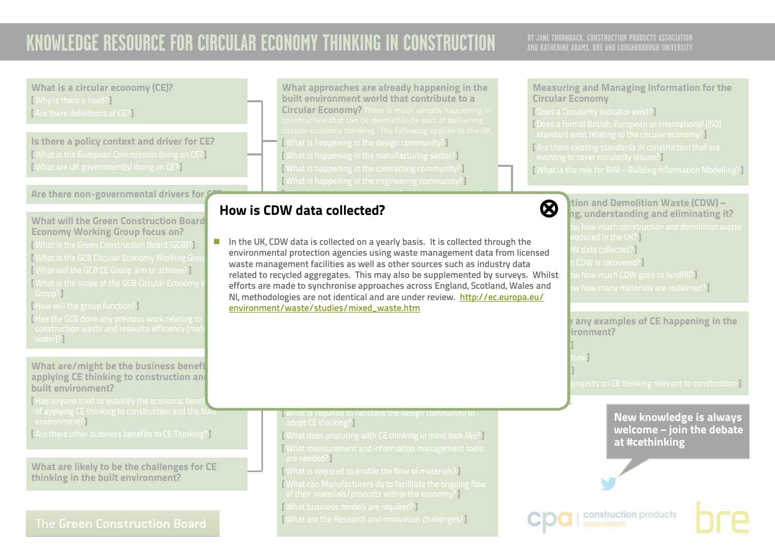## **AND KATHERINE ADAMS, BRE AND LOUGHBOROUGH UNIVERSITY**

What is a circular economy (CE)? **TWhy is there a need?** [ Are there definitions of CE?]

Is there a policy context and driver for CE? [ What is the European Commission doing on CE?] [ What are UK government(s) doing on CE?]

### Are there non-governmental drivers for  $\mathcal G$

What will the Green Construction Board Economy Working Group focus on?

[ What is the Green Construction Board (GCB)?] [ What is the GCB Circular Economy Working Group [ What will the GCB CE Group aim to achieve?] [ What is the scope of the GCB Circular Economy \ Group?]

[ How will the group function?]

[ Has the GCB done any previous work relating to water)?]

What are/might be the business benefi applying CE thinking to construction and built environment?

[Has anyone tried to quantify the economic bene  $\frac{1}{\sqrt{2}}$  of applying CE thinking to construction and the built environment?]

[ Are there other business benefits to CE Thinking?]

What are likely to be the challenges for CE thinking in the built environment?

### The Green Construction Board

What approaches are already happening in the built environment world that contribute to a Circular Economy? There is much already happening in [ What is happening in the design community?] [ What is happening in the manufacturing sector?] [ What is happening in the contracting community?] [ What is happening in the engineering community?]

 $\mathcal{M}(\mathcal{M})$  is happening during the refugee of  $\mathcal{M}(\mathcal{M})$ 

#### <span id="page-37-0"></span>life stages?] How is CDW data collected? [⊗](#page-0-0)  $\mathbf r$  and constructs and materials being reused?

n In the UK, CDW data is collected on a yearly basis. It is collected through the environmental protection agencies using waste management data from licensed waste management facilities as well as other sources such as industry data enorts are made to synchromse approaches across England, Scotland, wales ar<br>NI, methodologies are not identical and are under review. <u>[http://ec.europa.eu/](http://ec.europa.eu/environment/waste/studies/mixed_waste.htm)</u><br>environment/waste/studies/mixed\_waste.htm related to recycled aggregates. This may also be supplemented by surveys. Whilst efforts are made to synchronise approaches across England, Scotland, Wales and [environment/waste/studies/mixed\\_waste.htm](http://ec.europa.eu/environment/waste/studies/mixed_waste.htm)

#### **N** What is required to facilitate the design community to adopt CE thinking?]

[ What does procuring with CE thinking in mind look like?] [ What measurement and information management tools are needed?]

[ What is required to enable the flow of materials?]

[ What can Manufacturers do to facilitate the ongoing flow

of their materials/products within the economy?]

[ What business models are required?]

[ What are the Research and innovation challenges?]

### Measuring and Managing Information for the Circular Economy

[ Does a Circularity Indicator exist?]

[ Does a formal British, European or international (ISO) standard exist relating to the circular economy?] [ Are there existing standards in construction that are evolving to cover circularity issues?] [ What is the role for BIM – Building Information Modelling?]



 $\bigotimes$   $\bigcup_{n=1}^{\infty}$  ition and Demolition Waste (CDW) – ng, understanding and eliminating it? roduced in the UK?] W data collected?] CDW is recovered?]  $\bm v$  how much CDW goes to landfill?  $\bm l$  $\bm{w}$  how many materials are reclaimed?  $\bm{P}$ 

> **P** any examples of CE happening in the  $binom{m}{k}$

[ Infrastructure ]

**V.2 APRIL 2016**

[ Buildings ]

[ Materials ]

projects on CE thinking relevant to construction **]** 



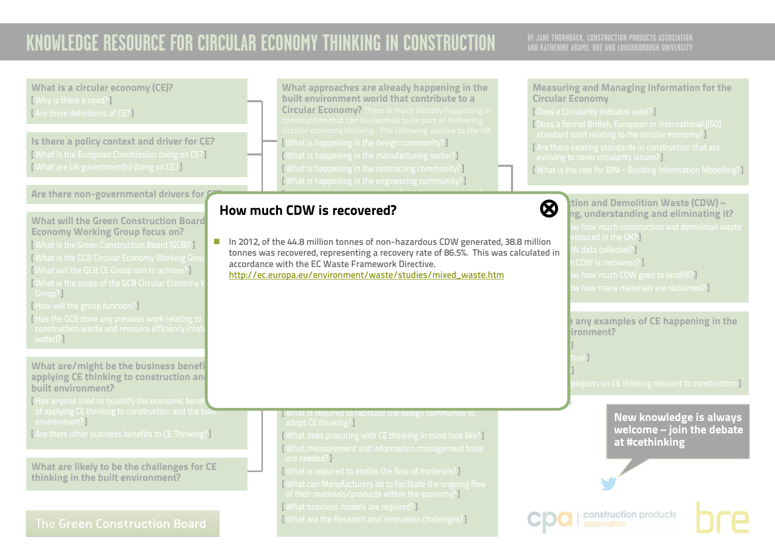## **AND KATHERINE ADAMS, BRE AND LOUGHBOROUGH UNIVERSITY**

What is a circular economy (CE)? [ Why is there a need?] [ Are there definitions of CE?]

Is there a policy context and driver for CE? [ What is the European Commission doing on CE?] [ What are UK government(s) doing on CE?]

### Are there non-governmental drivers for  $\mathcal G$

What will the Green Construction Board Economy Working Group focus on?

[ What is the Green Construction Board (GCB)?] [ What is the GCB Circular Economy Working Group [ What will the GCB CE Group aim to achieve?] [ What is the scope of the GCB Circular Economy Group?]

- [ How will the group function?]
- [ Has the GCB done any previous work relating to water)?]

What are/might be the business benefi applying CE thinking to construction and built environment?

[Has anyone tried to quantify the economic bene  $\frac{1}{\sqrt{2}}$  of applying CE thinking to construction and the built environment?]

[ Are there other business benefits to CE Thinking?]

What are likely to be the challenges for CE thinking in the built environment?

### The Green Construction Board

What approaches are already happening in the built environment world that contribute to a Circular Economy? There is much already happening in [ What is happening in the design community?] [ What is happening in the manufacturing sector?] [ What is happening in the contracting community?] [ What is happening in the engineering community?]

 $\mathcal{M}(\mathcal{M})$  is happening during the refugee of  $\mathcal{M}(\mathcal{M})$ 

#### <span id="page-38-0"></span>life stages?] How much CDW is recovered? [⊗](#page-0-0)  $\overline{a}$  are construction products and materials being relatively.



[http://ec.europa.eu/environment/waste/studies/mixed\\_waste.htm](http://ec.europa.eu/environment/waste/studies/mixed_waste.htm)

**N** What is required to facilitate the design community to adopt CE thinking?]

[ What does procuring with CE thinking in mind look like?] [ What measurement and information management tools are needed?]

[ What is required to enable the flow of materials?]

[ What can Manufacturers do to facilitate the ongoing flow

of their materials/products within the economy?]

[ What business models are required?]

[ What are the Research and innovation challenges?]

### Measuring and Managing Information for the Circular Economy

[ Does a Circularity Indicator exist?]

[ Does a formal British, European or international (ISO) standard exist relating to the circular economy?] [ Are there existing standards in construction that are evolving to cover circularity issues?] [ What is the role for BIM – Building Information Modelling?]

 $\bigotimes$   $\bigcup_{n=1}^{\infty}$  ition and Demolition Waste (CDW) – ng, understanding and eliminating it? roduced in the UK?]  $N$  data collected?] CDW is recovered?]  $\bm v$  how much CDW goes to landfill?  $\bm l$  $w$  how many materials are reclaimed?]

> **Are there any examples of CE happening in the**  $binom{m}{k}$

[ Infrastructure ]

**V.2 APRIL 2016**

[ Buildings ]

[ Materials ]

 $\overline{\rm{b}$  rojects on CE thinking relevant to construction ]

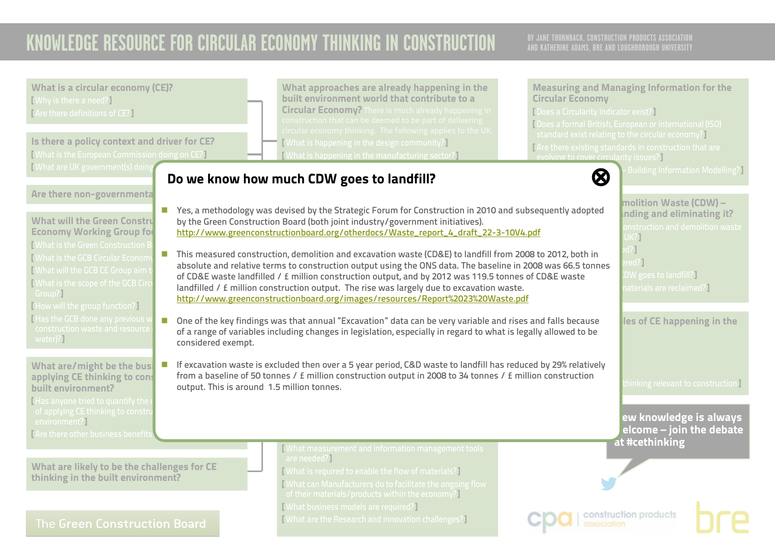<span id="page-39-0"></span>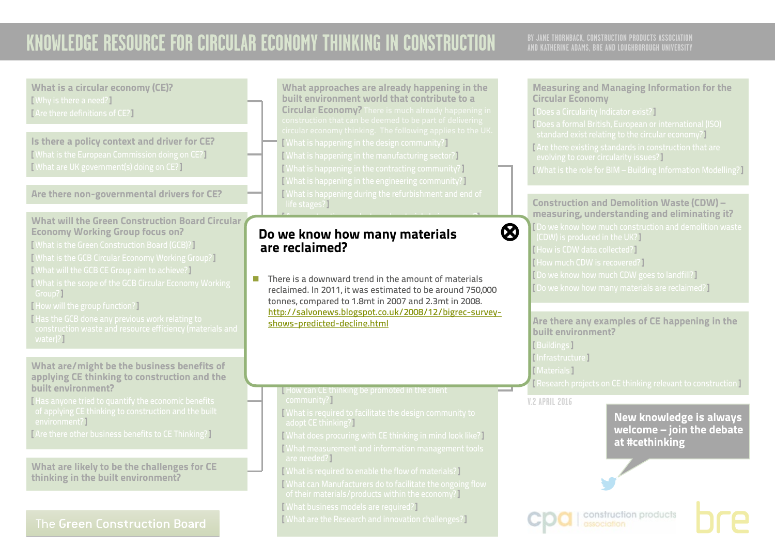## **AND KATHERINE ADAMS, BRE AND LOUGHBOROUGH UNIVERSITY**

What is a circular economy (CE)? [ Why is there a need?] [ Are there definitions of CE?]

Is there a policy context and driver for CE? [ What is the European Commission doing on CE?] [ What are UK government(s) doing on CE?]

Are there non-governmental drivers for CE?

### What will the Green Construction Board Circular Economy Working Group focus on?

- [ What is the Green Construction Board (GCB)?]
- [ What is the GCB Circular Economy Working Group?]
- [ What will the GCB CE Group aim to achieve?]
- [ What is the scope of the GCB Circular Economy Working Group?]
- [ How will the group function?]
- [Has the GCB done any previous work relating to ] water)?]

#### What are/might be the business benefits of applying CE thinking to construction and the built environment?

[ Has anyone tried to quantify the economic benefits environment?]

[ Are there other business benefits to CE Thinking?]

What are likely to be the challenges for CE thinking in the built environment?

### The Green Construction Board

What approaches are already happening in the built environment world that contribute to a Circular Economy? There is much already happening in [ What is happening in the design community?] [ What is happening in the manufacturing sector?] [ What is happening in the contracting community?] [ What is happening in the engineering community?] [ What is happening during the refurbishment and end of life stages?]

### <span id="page-40-0"></span>ug know how many materiale Do we know how many materials  $\qquad \qquad \textcircled{\textbf{8}}$ are reclaimed? **Examples of circular examples of circular economy business of circular economy business are recla**

<u>[shows-predicted-decline.html](http://salvonews.blogspot.co.uk/2008/12/bigrec-survey-shows-predicted-decline.html)</u> reclaimed. In 2011, it was estimated to be around 750,0<br>tonnes, compared to 1.8mt in 2007 and 2.3mt in 2008.  $\blacksquare$  There is a downward trend in the amount of materials reclaimed. In 2011, it was estimated to be around 750,000 [http://salvonews.blogspot.co.uk/2008/12/bigrec-survey-](http://salvonews.blogspot.co.uk/2008/12/bigrec-survey-shows-predicted-decline.html)

[ Are construction products and materials being reused?]

### **How can CE thinking be promoted in the client** community?]

- [ What is required to facilitate the design community to adopt CE thinking?]
- [ What does procuring with CE thinking in mind look like?] [ What measurement and information management tools are needed?]
- [ What is required to enable the flow of materials?]
- [ What can Manufacturers do to facilitate the ongoing flow
- of their materials/products within the economy?]
- [ What business models are required?]
- [ What are the Research and innovation challenges?]

### Measuring and Managing Information for the Circular Economy

[ Does a Circularity Indicator exist?] [ Does a formal British, European or international (ISO) standard exist relating to the circular economy?] [ Are there existing standards in construction that are evolving to cover circularity issues?]

[ What is the role for BIM – Building Information Modelling?]

### Construction and Demolition Waste (CDW) – measuring, understanding and eliminating it?

[ Do we know how much construction and demolition waste (CDW) is produced in the UK?] [ How is CDW data collected?] [ How much CDW is recovered?] [ Do we know how much CDW goes to landfill?] [ Do we know how many materials are reclaimed?]

Are there any examples of CE happening in the built environment? [ Buildings ]

[ Infrastructure ]

**TMaterials 1** 

[ Research projects on CE thinking relevant to construction ]

**V.2 APRIL 2016**

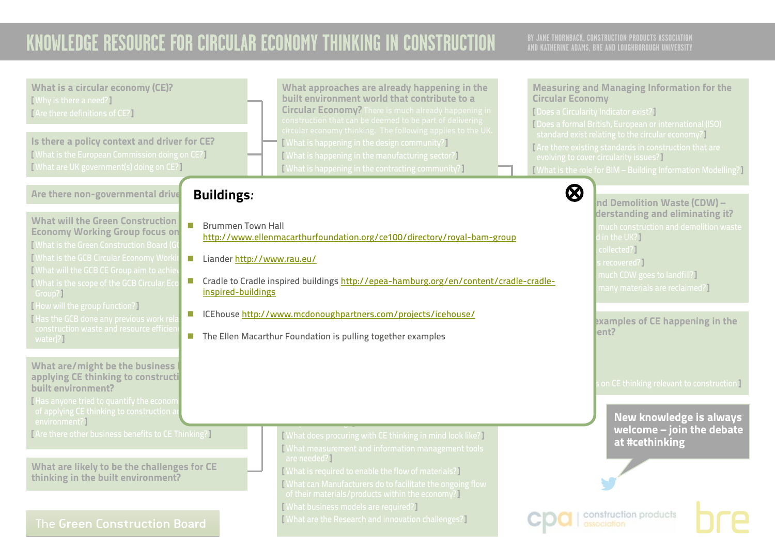<span id="page-41-0"></span>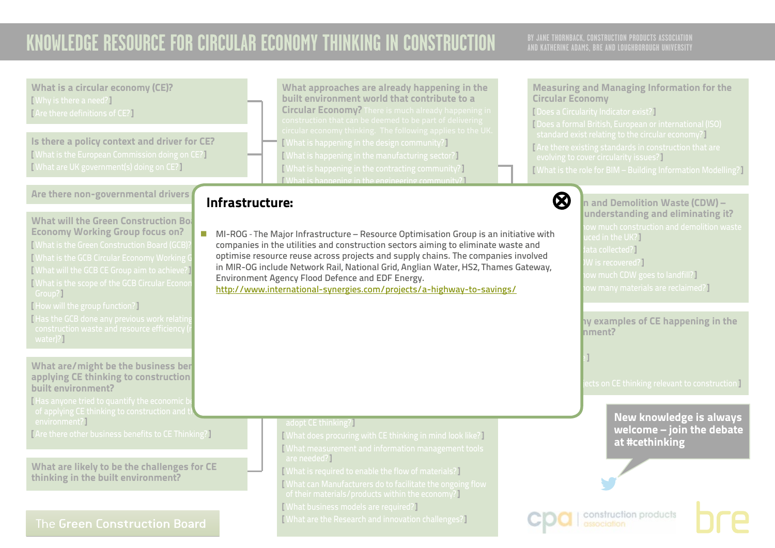## **AND KATHERINE ADAMS, BRE AND LOUGHBOROUGH UNIVERSITY**

What is a circular economy (CE)? [ Why is there a need?] [ Are there definitions of CE?]

Is there a policy context and driver for CE? [ What is the European Commission doing on CE?] [ What are UK government(s) doing on CE?]

Are there non-governmental drivers

What will the Green Construction  $Bo<sub>2</sub>$ Economy Working Group focus on? [ What is the Green Construction Board (GCB)?] [ What is the GCB Circular Economy Working [ What will the GCB CE Group aim to achieve?] [ What is the scope of the GCB Circular Econo Group?]

[ How will the group function?]

[Has the GCB done any previous work relating water)?]

What are/might be the business ben applying CE thinking to construction built environment?

[Has anyone tried to quantify the economic b environment?1

[ Are there other business benefits to CE Thinking?]

What are likely to be the challenges for CE thinking in the built environment?

### The Green Construction Board

What approaches are already happening in the built environment world that contribute to a Circular Economy? There is much already happening in [ What is happening in the design community?] [ What is happening in the manufacturing sector?] [ What is happening in the contracting community?] [ What is happening in the engineering community?]

## <span id="page-42-0"></span>life stages?] Infrastructure: [⊗](#page-0-0)

 $\blacksquare$  MI-ROG - The Major Infrastructure – Resource Optimisation Group is an initiative with companies in the utilities and construction sectors aiming to eliminate waste and optimise resource reuse across projects and supply chains. The companies involved in MIR-OG include Network Rail, National Grid, Anglian Water, HS2, Thames Gateway, **CIRCULAR ECONOMY** <http://www.international-synergies.com/projects/a-highway-to-savings/>Environment Agency Flood Defence and EDF Energy.

#### Measuring and Managing Information for the Circular Economy

[ Does a Circularity Indicator exist?]

[ Infrastructure ]

[ Does a formal British, European or international (ISO) standard exist relating to the circular economy?] [ Are there existing standards in construction that are evolving to cover circularity issues?] [ What is the role for BIM – Building Information Modelling?]

 $\delta$   $\mathbf{Q}$   $\mathbf{Q}$   $\mathbf{Q}$   $\mathbf{Q}$  and Demolition Waste (CDW) – understanding and eliminating it? ced in the UK?]  $at a$  collected?  $\overline{a}$ N is recovered?] w much CDW goes to landfill? $\overline{\phantom{a} \phantom{a}}$  $\,$ ow many materials are reclaimed? $\,$ 

> hy examples of CE happening in the  $h$ ment?

ects on CE thinking relevant to construction **]** 

construction products

### New knowledge is always welcome – join the debate at #cethinking

#### [ What is required to facilitate the design community to adopt CE thinking?]

[ What does procuring with CE thinking in mind look like?] [ What measurement and information management tools are needed?]

[ What is required to enable the flow of materials?]

[ What can Manufacturers do to facilitate the ongoing flow

of their materials/products within the economy?]

[ What business models are required?]

[ What are the Research and innovation challenges?]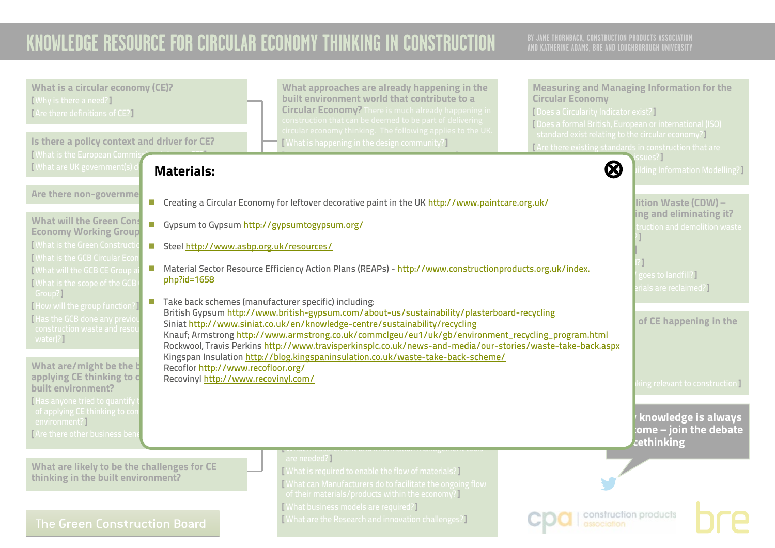<span id="page-43-0"></span>

| <b>What is a circular economy (CE)?</b><br>[Why is there a need?]<br>[Are there definitions of CE?]<br>Is there a policy context and driver for CE?<br>What is the European Comm                                                                                                                                                                                                                                                                                                                                                                                                                                                                                                                                                                                   | What approaches are already happening in the<br>built environment world that contribute to a<br><b>Circular Economy?</b> There is much already happening in<br>construction that can be deemed to be part of delivering<br>circular economy thinking. The following applies to the UK.<br>[What is happening in the design community?]                                                                                                                                                                                                                                                                                                                                                                                                                                                                      | <b>Measuring and Managing Information for the</b><br><b>Circular Economy</b><br>[Does a Circularity Indicator exist?]<br>Does a formal British, European or international (ISO)<br>standard exist relating to the circular economy?<br>I Are there existing standards in construction that are<br>ssues? |
|--------------------------------------------------------------------------------------------------------------------------------------------------------------------------------------------------------------------------------------------------------------------------------------------------------------------------------------------------------------------------------------------------------------------------------------------------------------------------------------------------------------------------------------------------------------------------------------------------------------------------------------------------------------------------------------------------------------------------------------------------------------------|-------------------------------------------------------------------------------------------------------------------------------------------------------------------------------------------------------------------------------------------------------------------------------------------------------------------------------------------------------------------------------------------------------------------------------------------------------------------------------------------------------------------------------------------------------------------------------------------------------------------------------------------------------------------------------------------------------------------------------------------------------------------------------------------------------------|----------------------------------------------------------------------------------------------------------------------------------------------------------------------------------------------------------------------------------------------------------------------------------------------------------|
| [What are UK government(s)<br><b>Materials:</b>                                                                                                                                                                                                                                                                                                                                                                                                                                                                                                                                                                                                                                                                                                                    |                                                                                                                                                                                                                                                                                                                                                                                                                                                                                                                                                                                                                                                                                                                                                                                                             | $\bm{\otimes}$<br><b>Iding Information Modelling?</b>                                                                                                                                                                                                                                                    |
| Are there non-governme<br><b>What will the Green Cons</b><br>T.<br><b>Economy Working Group</b><br><b>Nhat is the Green Constructi</b><br>Steel http://www.asbp.org.uk/resources/<br><b>N</b> hat is the GCB Circular Ecor<br>$\sim$<br>Mhat will the GCB CE Group<br>php?id=1658<br><b>I</b> What is the scope of the GCB<br>Group?]<br>$\mathcal{C}^{\mathcal{A}}$<br>[How will the group function?]<br>Has the GCB done any previo<br>construction waste and resor<br>water)?]<br>What are/might be the b<br>Recoflor http://www.recofloor.org/<br>applying CE thinking to c<br>Recovinyl http://www.recovinyl.com/<br>built environment?<br>I Has anyone tried to quantify<br>of applying CE thinking to cor<br>environment?]<br>TAre there other business ben | ■ Creating a Circular Economy for leftover decorative paint in the UK http://www.paintcare.org.uk/<br>Gypsum to Gypsum http://gypsumtogypsum.org/<br>Material Sector Resource Efficiency Action Plans (REAPs) - http://www.constructionproducts.org.uk/index.<br>Take back schemes (manufacturer specific) including:<br>British Gypsum http://www.british-gypsum.com/about-us/sustainability/plasterboard-recycling<br>Siniat http://www.siniat.co.uk/en/knowledge-centre/sustainability/recycling<br>Knauf; Armstrong http://www.armstrong.co.uk/commclgeu/eu1/uk/gb/environment_recycling_program.html<br>Rockwool, Travis Perkins http://www.travisperkinsplc.co.uk/news-and-media/our-stories/waste-take-back.aspx<br>Kingspan Insulation http://blog.kingspaninsulation.co.uk/waste-take-back-scheme/ | lition Waste (CDW) -<br>ing and eliminating it?<br>ruction and demolition waste<br>goes to landfill?]<br>rials are reclaimed?]<br>of CE happening in the<br>king relevant to construction I<br>knowledge is always<br>ome – join the debate<br>cethinking                                                |
| What are likely to be the challenges for CE<br>thinking in the built environment?<br>The Green Construction Board                                                                                                                                                                                                                                                                                                                                                                                                                                                                                                                                                                                                                                                  | are needed?]<br>[What is required to enable the flow of materials?]<br>What can Manufacturers do to facilitate the ongoing flow<br>of their materials/products within the economy?]<br>[What business models are required?]<br><b>What are the Research and innovation challenges?</b>                                                                                                                                                                                                                                                                                                                                                                                                                                                                                                                      | construction products                                                                                                                                                                                                                                                                                    |